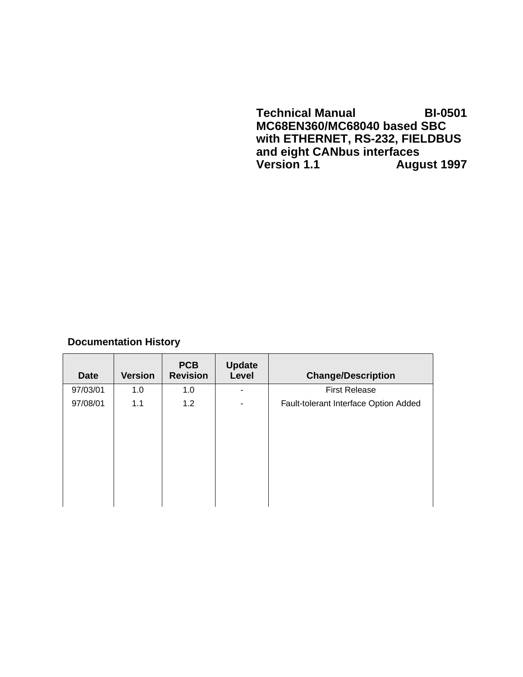**Technical Manual BI-0501 MC68EN360/MC68040 based SBC with ETHERNET, RS-232, FIELDBUS and eight CANbus interfaces Version 1.1 August 1997**

## **Documentation History**

| <b>Date</b> | <b>Version</b> | <b>PCB</b><br><b>Revision</b> | <b>Update</b><br>Level | <b>Change/Description</b>             |
|-------------|----------------|-------------------------------|------------------------|---------------------------------------|
| 97/03/01    | 1.0            | 1.0                           |                        | <b>First Release</b>                  |
| 97/08/01    | 1.1            | 1.2                           | -                      | Fault-tolerant Interface Option Added |
|             |                |                               |                        |                                       |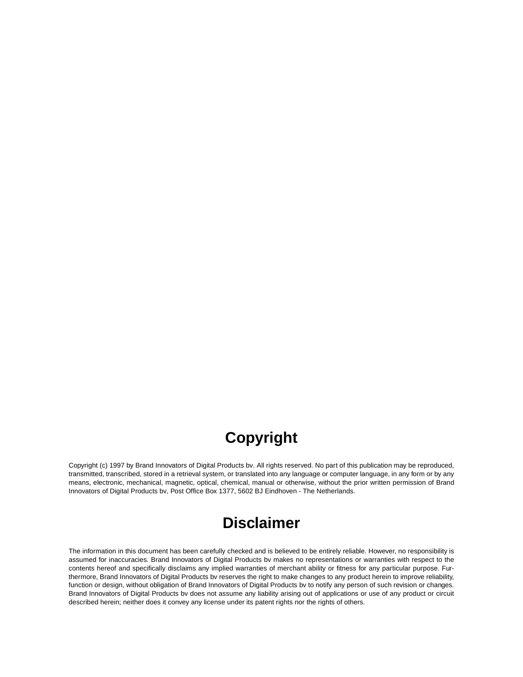## **Copyright**

Copyright (c) 1997 by Brand Innovators of Digital Products bv. All rights reserved. No part of this publication may be reproduced, transmitted, transcribed, stored in a retrieval system, or translated into any language or computer language, in any form or by any means, electronic, mechanical, magnetic, optical, chemical, manual or otherwise, without the prior written permission of Brand Innovators of Digital Products bv, Post Office Box 1377, 5602 BJ Eindhoven - The Netherlands.

## **Disclaimer**

The information in this document has been carefully checked and is believed to be entirely reliable. However, no responsibility is assumed for inaccuracies. Brand Innovators of Digital Products bv makes no representations or warranties with respect to the contents hereof and specifically disclaims any implied warranties of merchant ability or fitness for any particular purpose. Furthermore, Brand Innovators of Digital Products bv reserves the right to make changes to any product herein to improve reliability, function or design, without obligation of Brand Innovators of Digital Products bv to notify any person of such revision or changes. Brand Innovators of Digital Products bv does not assume any liability arising out of applications or use of any product or circuit described herein; neither does it convey any license under its patent rights nor the rights of others.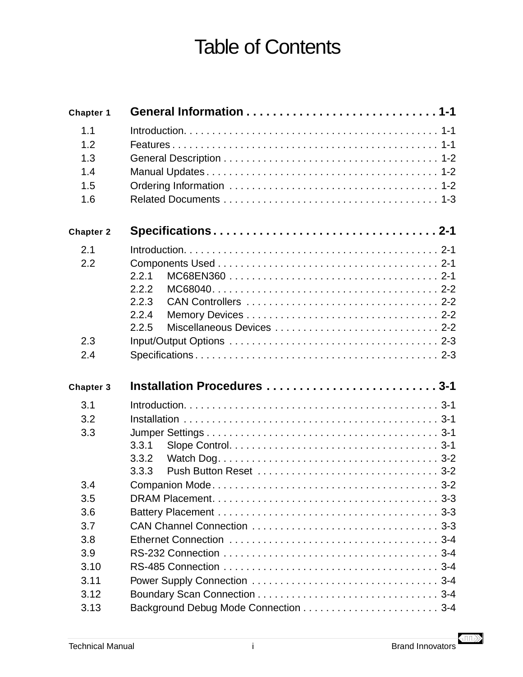# Table of Contents

| Chapter 1        |                             |
|------------------|-----------------------------|
| 1.1              |                             |
| 1.2              |                             |
| 1.3              |                             |
| 1.4              |                             |
| 1.5              |                             |
| 1.6              |                             |
| <b>Chapter 2</b> | Specifications2-1           |
| 2.1              |                             |
| 2.2              |                             |
|                  | 2.2.1                       |
|                  | 2.2.2                       |
|                  | 2.2.3                       |
|                  | 2.2.4                       |
|                  | 2.2.5                       |
| 2.3              |                             |
| 2.4              |                             |
| Chapter 3        | Installation Procedures 3-1 |
| 3.1              |                             |
| 3.2              |                             |
| 3.3              |                             |
|                  |                             |
|                  |                             |
|                  | 3.3.1                       |
|                  | 3.3.2<br>3.3.3              |
|                  |                             |
| 3.4<br>3.5       |                             |
| 3.6              |                             |
| 3.7              |                             |
| 3.8              |                             |
| 3.9              |                             |
| 3.10             |                             |
| 3.11             |                             |
| 3.12             |                             |

 $\left\langle \text{III} \right\rangle$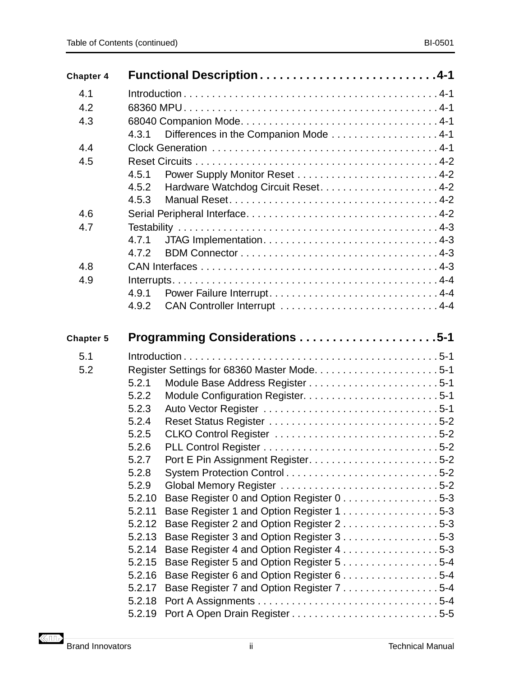| <b>Chapter 4</b> | Functional Description4-1                                                                       |  |  |
|------------------|-------------------------------------------------------------------------------------------------|--|--|
| 4.1              |                                                                                                 |  |  |
| 4.2              |                                                                                                 |  |  |
| 4.3              |                                                                                                 |  |  |
|                  | Differences in the Companion Mode 4-1<br>4.3.1                                                  |  |  |
| 4.4              |                                                                                                 |  |  |
| 4.5              |                                                                                                 |  |  |
|                  | 4.5.1                                                                                           |  |  |
|                  | 4.5.2                                                                                           |  |  |
|                  | 4.5.3                                                                                           |  |  |
| 4.6              |                                                                                                 |  |  |
| 4.7              |                                                                                                 |  |  |
|                  | 4.7.1                                                                                           |  |  |
|                  | 4.7.2                                                                                           |  |  |
| 4.8              |                                                                                                 |  |  |
| 4.9              |                                                                                                 |  |  |
|                  | 4.9.1                                                                                           |  |  |
|                  | 4.9.2                                                                                           |  |  |
| <b>Chapter 5</b> | Programming Considerations 5-1                                                                  |  |  |
| 5.1              |                                                                                                 |  |  |
| 5.2              |                                                                                                 |  |  |
|                  | 5.2.1                                                                                           |  |  |
|                  | 5.2.2                                                                                           |  |  |
|                  | 5.2.3                                                                                           |  |  |
|                  | 5.2.4                                                                                           |  |  |
|                  | 5.2.5                                                                                           |  |  |
|                  | 5.2.6                                                                                           |  |  |
|                  | 5.2.7                                                                                           |  |  |
|                  | 5.2.8<br>System Protection Control5-2                                                           |  |  |
|                  | 5.2.9<br>Global Memory Register 5-2                                                             |  |  |
|                  | Base Register 0 and Option Register 0 5-3<br>5.2.10                                             |  |  |
|                  | 5.2.11<br>Base Register 1 and Option Register 15-3                                              |  |  |
|                  | Base Register 2 and Option Register 25-3<br>5.2.12                                              |  |  |
|                  | Base Register 3 and Option Register 3 5-3<br>5.2.13                                             |  |  |
|                  | Base Register 4 and Option Register 45-3<br>5.2.14<br>5.2.15                                    |  |  |
|                  | Base Register 5 and Option Register 55-4<br>5.2.16<br>Base Register 6 and Option Register 6 5-4 |  |  |
|                  | Base Register 7 and Option Register 7 5-4<br>5.2.17                                             |  |  |
|                  | 5.2.18                                                                                          |  |  |
|                  | 5.2.19                                                                                          |  |  |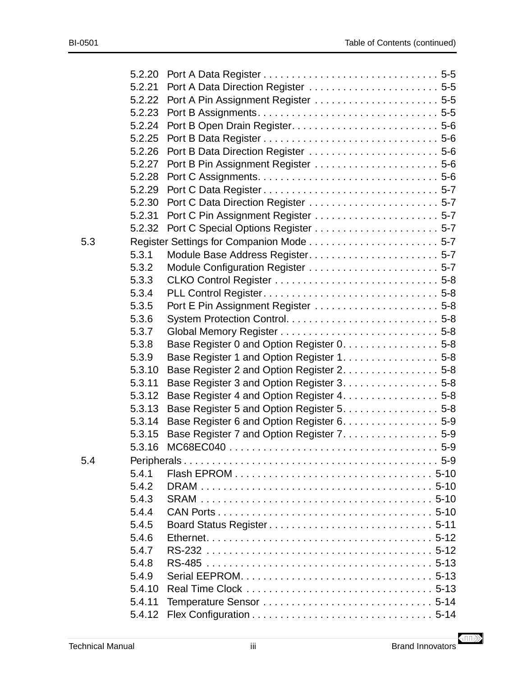|     | 5.2.20 |                                            |  |
|-----|--------|--------------------------------------------|--|
|     | 5.2.21 | Port A Data Direction Register  5-5        |  |
|     | 5.2.22 |                                            |  |
|     | 5.2.23 |                                            |  |
|     | 5.2.24 |                                            |  |
|     | 5.2.25 |                                            |  |
|     | 5.2.26 | Port B Data Direction Register  5-6        |  |
|     | 5.2.27 |                                            |  |
|     | 5.2.28 |                                            |  |
|     | 5.2.29 |                                            |  |
|     | 5.2.30 |                                            |  |
|     | 5.2.31 |                                            |  |
|     | 5.2.32 |                                            |  |
| 5.3 |        |                                            |  |
|     | 5.3.1  | Module Base Address Register 5-7           |  |
|     | 5.3.2  |                                            |  |
|     | 5.3.3  |                                            |  |
|     | 5.3.4  |                                            |  |
|     | 5.3.5  |                                            |  |
|     | 5.3.6  |                                            |  |
|     | 5.3.7  |                                            |  |
|     | 5.3.8  | Base Register 0 and Option Register 0. 5-8 |  |
|     | 5.3.9  | Base Register 1 and Option Register 1. 5-8 |  |
|     | 5.3.10 | Base Register 2 and Option Register 2. 5-8 |  |
|     | 5.3.11 | Base Register 3 and Option Register 3. 5-8 |  |
|     | 5.3.12 | Base Register 4 and Option Register 4. 5-8 |  |
|     | 5.3.13 | Base Register 5 and Option Register 5. 5-8 |  |
|     | 5.3.14 | Base Register 6 and Option Register 6. 5-9 |  |
|     | 5.3.15 | Base Register 7 and Option Register 7. 5-9 |  |
|     | 5.3.16 |                                            |  |
| 5.4 |        |                                            |  |
|     | 5.4.1  |                                            |  |
|     | 5.4.2  |                                            |  |
|     | 5.4.3  |                                            |  |
|     | 5.4.4  |                                            |  |
|     | 5.4.5  |                                            |  |
|     | 5.4.6  |                                            |  |
|     | 5.4.7  |                                            |  |
|     | 5.4.8  |                                            |  |
|     | 5.4.9  |                                            |  |
|     | 5.4.10 |                                            |  |
|     | 5.4.11 |                                            |  |
|     | 5.4.12 |                                            |  |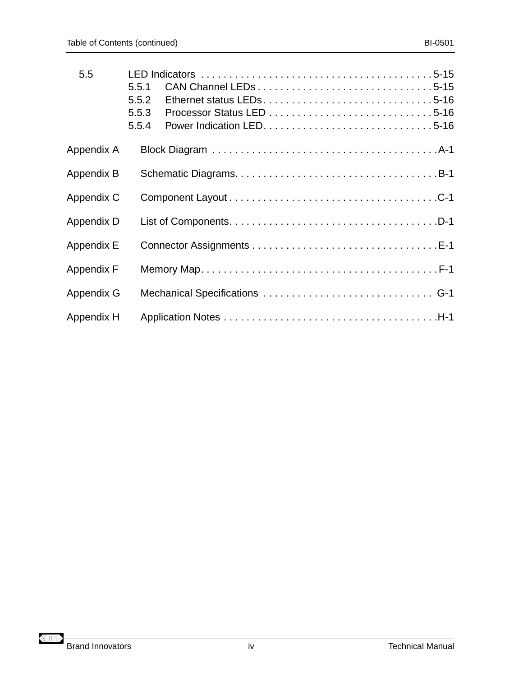| 5.5               | 5.5.1<br>5.5.2<br>5.5.3<br>5.5.4 |                                |  |  |
|-------------------|----------------------------------|--------------------------------|--|--|
| Appendix A        |                                  |                                |  |  |
| <b>Appendix B</b> |                                  |                                |  |  |
| Appendix C        |                                  |                                |  |  |
| Appendix D        |                                  |                                |  |  |
| <b>Appendix E</b> |                                  |                                |  |  |
| <b>Appendix F</b> |                                  |                                |  |  |
| Appendix G        |                                  | Mechanical Specifications  G-1 |  |  |
| Appendix H        |                                  |                                |  |  |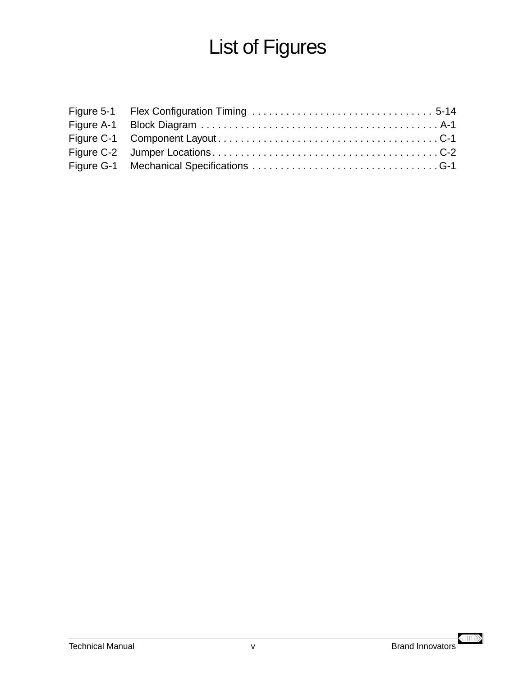# List of Figures

 $\left\langle \text{III} \right\rangle$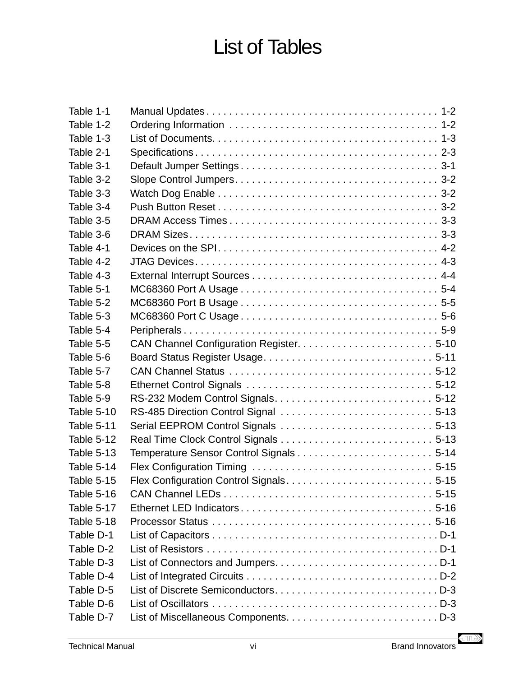# List of Tables

| Table 1-1         |  |
|-------------------|--|
| Table 1-2         |  |
| Table 1-3         |  |
| Table 2-1         |  |
| Table 3-1         |  |
| Table 3-2         |  |
| Table 3-3         |  |
| Table 3-4         |  |
| Table 3-5         |  |
| Table 3-6         |  |
| Table 4-1         |  |
| Table 4-2         |  |
| Table 4-3         |  |
| Table 5-1         |  |
| Table 5-2         |  |
| Table 5-3         |  |
| Table 5-4         |  |
| Table 5-5         |  |
| Table 5-6         |  |
| Table 5-7         |  |
| Table 5-8         |  |
| Table 5-9         |  |
| Table 5-10        |  |
| <b>Table 5-11</b> |  |
| Table 5-12        |  |
| <b>Table 5-13</b> |  |
| Table 5-14        |  |
| <b>Table 5-15</b> |  |
| Table 5-16        |  |
| Table 5-17        |  |
| Table 5-18        |  |
| Table D-1         |  |
| Table D-2         |  |
| Table D-3         |  |
| Table D-4         |  |
| Table D-5         |  |
| Table D-6         |  |
| Table D-7         |  |

 $\left\langle \mathbb{H} \right\rangle$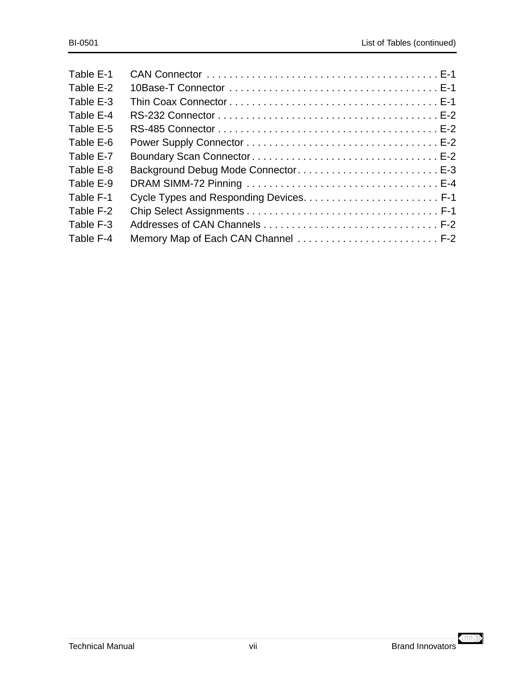| Background Debug Mode Connector E-3 |
|-------------------------------------|
|                                     |
|                                     |
|                                     |
|                                     |
| Memory Map of Each CAN Channel  F-2 |
|                                     |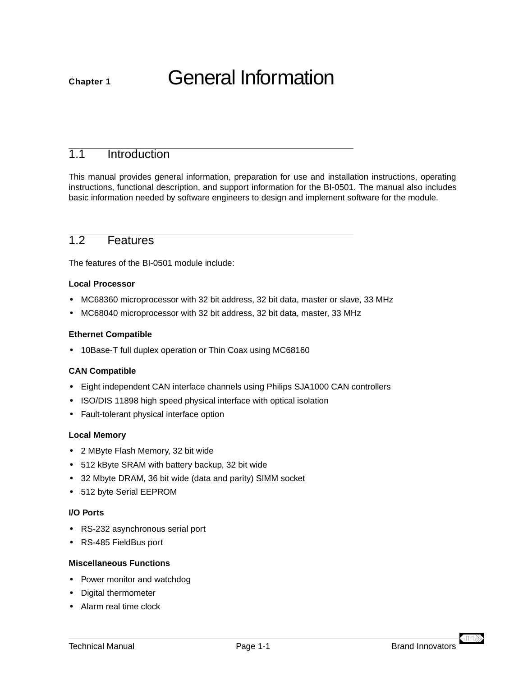# <span id="page-10-0"></span>**Chapter 1** General Information

## 1.1 Introduction

This manual provides general information, preparation for use and installation instructions, operating instructions, functional description, and support information for the BI-0501. The manual also includes basic information needed by software engineers to design and implement software for the module.

## 1.2 Features

The features of the BI-0501 module include:

#### **Local Processor**

- **•** MC68360 microprocessor with 32 bit address, 32 bit data, master or slave, 33 MHz
- **•** MC68040 microprocessor with 32 bit address, 32 bit data, master, 33 MHz

#### **Ethernet Compatible**

**•** 10Base-T full duplex operation or Thin Coax using MC68160

#### **CAN Compatible**

- **•** Eight independent CAN interface channels using Philips SJA1000 CAN controllers
- **•** ISO/DIS 11898 high speed physical interface with optical isolation
- **•** Fault-tolerant physical interface option

#### **Local Memory**

- **•** 2 MByte Flash Memory, 32 bit wide
- **•** 512 kByte SRAM with battery backup, 32 bit wide
- **•** 32 Mbyte DRAM, 36 bit wide (data and parity) SIMM socket
- **•** 512 byte Serial EEPROM

#### **I/O Ports**

- **•** RS-232 asynchronous serial port
- **•** RS-485 FieldBus port

#### **Miscellaneous Functions**

- **•** Power monitor and watchdog
- **•** Digital thermometer
- **•** Alarm real time clock

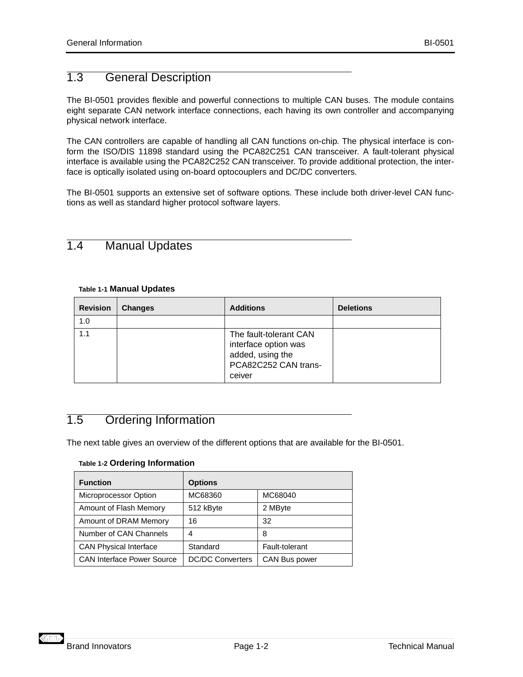## <span id="page-11-0"></span>1.3 General Description

The BI-0501 provides flexible and powerful connections to multiple CAN buses. The module contains eight separate CAN network interface connections, each having its own controller and accompanying physical network interface.

The CAN controllers are capable of handling all CAN functions on-chip. The physical interface is conform the ISO/DIS 11898 standard using the PCA82C251 CAN transceiver. A fault-tolerant physical interface is available using the PCA82C252 CAN transceiver. To provide additional protection, the interface is optically isolated using on-board optocouplers and DC/DC converters.

The BI-0501 supports an extensive set of software options. These include both driver-level CAN functions as well as standard higher protocol software layers.

## 1.4 Manual Updates

#### **Table 1-1 Manual Updates**

| <b>Revision</b> | <b>Changes</b> | <b>Additions</b>                                                                                     | <b>Deletions</b> |
|-----------------|----------------|------------------------------------------------------------------------------------------------------|------------------|
| 1.0             |                |                                                                                                      |                  |
| 1.1             |                | The fault-tolerant CAN<br>interface option was<br>added, using the<br>PCA82C252 CAN trans-<br>ceiver |                  |

## 1.5 Ordering Information

The next table gives an overview of the different options that are available for the BI-0501.

#### **Table 1-2 Ordering Information**

| <b>Function</b>                   | <b>Options</b>          |                |
|-----------------------------------|-------------------------|----------------|
| Microprocessor Option             | MC68360                 | MC68040        |
| Amount of Flash Memory            | 512 kByte               | 2 MByte        |
| Amount of DRAM Memory             | 16                      | 32             |
| Number of CAN Channels            | 4                       | 8              |
| <b>CAN Physical Interface</b>     | Standard                | Fault-tolerant |
| <b>CAN Interface Power Source</b> | <b>DC/DC Converters</b> | CAN Bus power  |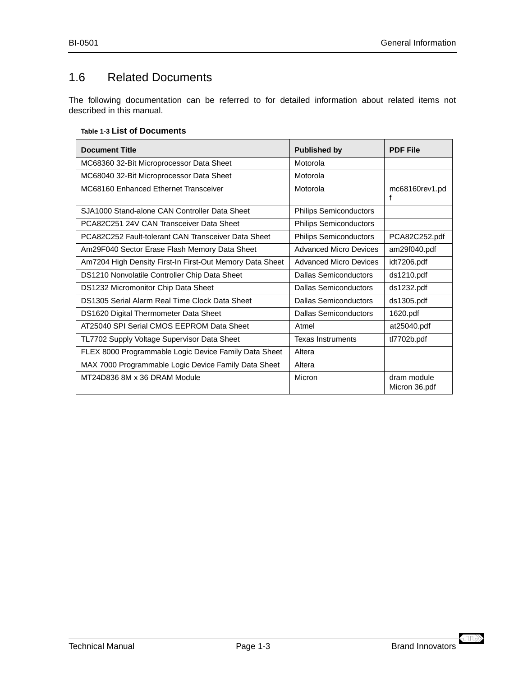## <span id="page-12-0"></span>1.6 Related Documents

The following documentation can be referred to for detailed information about related items not described in this manual.

#### **Table 1-3 List of Documents**

| <b>Document Title</b>                                    | <b>Published by</b>           | <b>PDF File</b>              |
|----------------------------------------------------------|-------------------------------|------------------------------|
| MC68360 32-Bit Microprocessor Data Sheet                 | Motorola                      |                              |
| MC68040 32-Bit Microprocessor Data Sheet                 | Motorola                      |                              |
| MC68160 Enhanced Ethernet Transceiver                    | Motorola                      | mc68160rev1.pd<br>f          |
| SJA1000 Stand-alone CAN Controller Data Sheet            | <b>Philips Semiconductors</b> |                              |
| PCA82C251 24V CAN Transceiver Data Sheet                 | <b>Philips Semiconductors</b> |                              |
| PCA82C252 Fault-tolerant CAN Transceiver Data Sheet      | <b>Philips Semiconductors</b> | PCA82C252.pdf                |
| Am29F040 Sector Erase Flash Memory Data Sheet            | Advanced Micro Devices        | am29f040.pdf                 |
| Am7204 High Density First-In First-Out Memory Data Sheet | <b>Advanced Micro Devices</b> | idt7206.pdf                  |
| DS1210 Nonvolatile Controller Chip Data Sheet            | Dallas Semiconductors         | ds1210.pdf                   |
| DS1232 Micromonitor Chip Data Sheet                      | <b>Dallas Semiconductors</b>  | ds1232.pdf                   |
| DS1305 Serial Alarm Real Time Clock Data Sheet           | Dallas Semiconductors         | ds1305.pdf                   |
| DS1620 Digital Thermometer Data Sheet                    | Dallas Semiconductors         | 1620.pdf                     |
| AT25040 SPI Serial CMOS EEPROM Data Sheet                | Atmel                         | at25040.pdf                  |
| TL7702 Supply Voltage Supervisor Data Sheet              | <b>Texas Instruments</b>      | tl7702b.pdf                  |
| FLEX 8000 Programmable Logic Device Family Data Sheet    | Altera                        |                              |
| MAX 7000 Programmable Logic Device Family Data Sheet     | Altera                        |                              |
| MT24D836 8M x 36 DRAM Module                             | Micron                        | dram module<br>Micron 36.pdf |

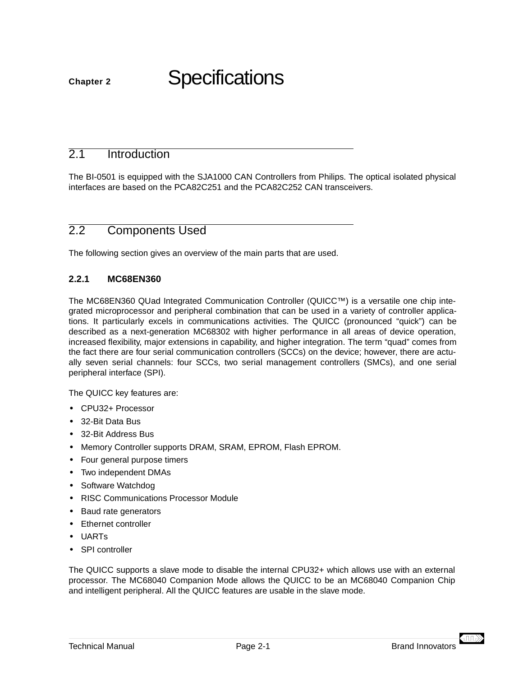## <span id="page-14-0"></span>**Chapter 2** Specifications

## 2.1 Introduction

The BI-0501 is equipped with the SJA1000 CAN Controllers from Philips. The optical isolated physical interfaces are based on the PCA82C251 and the PCA82C252 CAN transceivers.

## 2.2 Components Used

The following section gives an overview of the main parts that are used.

## **2.2.1 MC68EN360**

The MC68EN360 QUad Integrated Communication Controller (QUICC™) is a versatile one chip integrated microprocessor and peripheral combination that can be used in a variety of controller applications. It particularly excels in communications activities. The QUICC (pronounced "quick") can be described as a next-generation MC68302 with higher performance in all areas of device operation, increased flexibility, major extensions in capability, and higher integration. The term "quad" comes from the fact there are four serial communication controllers (SCCs) on the device; however, there are actually seven serial channels: four SCCs, two serial management controllers (SMCs), and one serial peripheral interface (SPI).

The QUICC key features are:

- **•** CPU32+ Processor
- **•** 32-Bit Data Bus
- **•** 32-Bit Address Bus
- **•** Memory Controller supports DRAM, SRAM, EPROM, Flash EPROM.
- **•** Four general purpose timers
- **•** Two independent DMAs
- **•** Software Watchdog
- **•** RISC Communications Processor Module
- **•** Baud rate generators
- **•** Ethernet controller
- **•** UARTs
- **•** SPI controller

The QUICC supports a slave mode to disable the internal CPU32+ which allows use with an external processor. The MC68040 Companion Mode allows the QUICC to be an MC68040 Companion Chip and intelligent peripheral. All the QUICC features are usable in the slave mode.

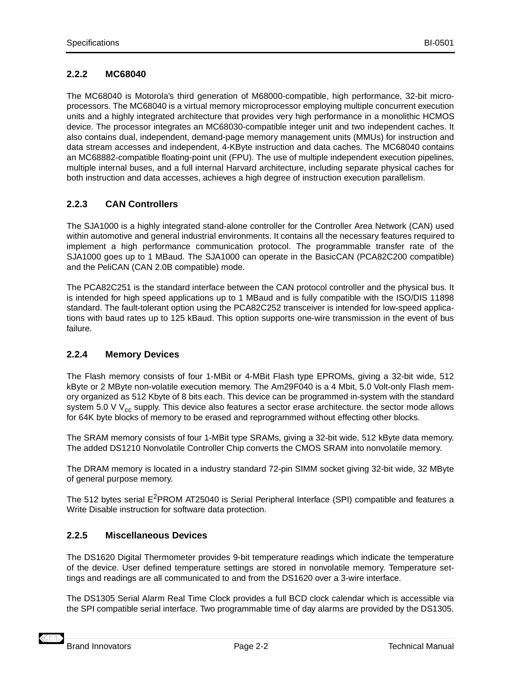## <span id="page-15-0"></span>**2.2.2 MC68040**

The MC68040 is Motorola's third generation of M68000-compatible, high performance, 32-bit microprocessors. The MC68040 is a virtual memory microprocessor employing multiple concurrent execution units and a highly integrated architecture that provides very high performance in a monolithic HCMOS device. The processor integrates an MC68030-compatible integer unit and two independent caches. It also contains dual, independent, demand-page memory management units (MMUs) for instruction and data stream accesses and independent, 4-KByte instruction and data caches. The MC68040 contains an MC68882-compatible floating-point unit (FPU). The use of multiple independent execution pipelines, multiple internal buses, and a full internal Harvard architecture, including separate physical caches for both instruction and data accesses, achieves a high degree of instruction execution parallelism.

## **2.2.3 CAN Controllers**

The SJA1000 is a highly integrated stand-alone controller for the Controller Area Network (CAN) used within automotive and general industrial environments. It contains all the necessary features required to implement a high performance communication protocol. The programmable transfer rate of the SJA1000 goes up to 1 MBaud. The SJA1000 can operate in the BasicCAN (PCA82C200 compatible) and the PeliCAN (CAN 2.0B compatible) mode.

The PCA82C251 is the standard interface between the CAN protocol controller and the physical bus. It is intended for high speed applications up to 1 MBaud and is fully compatible with the ISO/DIS 11898 standard. The fault-tolerant option using the PCA82C252 transceiver is intended for low-speed applications with baud rates up to 125 kBaud. This option supports one-wire transmission in the event of bus failure.

## **2.2.4 Memory Devices**

The Flash memory consists of four 1-MBit or 4-MBit Flash type EPROMs, giving a 32-bit wide, 512 kByte or 2 MByte non-volatile execution memory. The Am29F040 is a 4 Mbit, 5.0 Volt-only Flash memory organized as 512 Kbyte of 8 bits each. This device can be programmed in-system with the standard system 5.0 V  $V_{cc}$  supply. This device also features a sector erase architecture. the sector mode allows for 64K byte blocks of memory to be erased and reprogrammed without effecting other blocks.

The SRAM memory consists of four 1-MBit type SRAMs, giving a 32-bit wide, 512 kByte data memory. The added DS1210 Nonvolatile Controller Chip converts the CMOS SRAM into nonvolatile memory.

The DRAM memory is located in a industry standard 72-pin SIMM socket giving 32-bit wide, 32 MByte of general purpose memory.

The 512 bytes serial E<sup>2</sup>PROM AT25040 is Serial Peripheral Interface (SPI) compatible and features a Write Disable instruction for software data protection.

## **2.2.5 Miscellaneous Devices**

The DS1620 Digital Thermometer provides 9-bit temperature readings which indicate the temperature of the device. User defined temperature settings are stored in nonvolatile memory. Temperature settings and readings are all communicated to and from the DS1620 over a 3-wire interface.

The DS1305 Serial Alarm Real Time Clock provides a full BCD clock calendar which is accessible via the SPI compatible serial interface. Two programmable time of day alarms are provided by the DS1305.

**KHIL**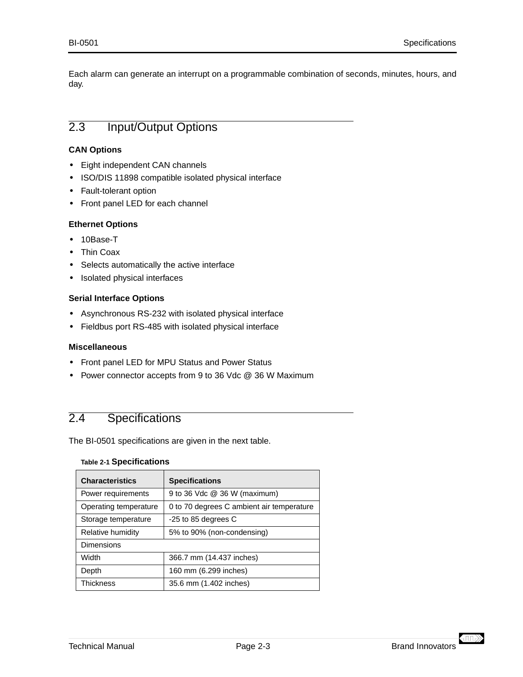<span id="page-16-0"></span>Each alarm can generate an interrupt on a programmable combination of seconds, minutes, hours, and day.

## 2.3 Input/Output Options

#### **CAN Options**

- **•** Eight independent CAN channels
- **•** ISO/DIS 11898 compatible isolated physical interface
- **•** Fault-tolerant option
- **•** Front panel LED for each channel

#### **Ethernet Options**

- **•** 10Base-T
- **•** Thin Coax
- **•** Selects automatically the active interface
- **•** Isolated physical interfaces

#### **Serial Interface Options**

- **•** Asynchronous RS-232 with isolated physical interface
- **•** Fieldbus port RS-485 with isolated physical interface

#### **Miscellaneous**

- **•** Front panel LED for MPU Status and Power Status
- **•** Power connector accepts from 9 to 36 Vdc @ 36 W Maximum

## 2.4 Specifications

The BI-0501 specifications are given in the next table.

#### **Table 2-1 Specifications**

| <b>Characteristics</b> | <b>Specifications</b>                     |  |
|------------------------|-------------------------------------------|--|
| Power requirements     | 9 to 36 Vdc @ 36 W (maximum)              |  |
| Operating temperature  | 0 to 70 degrees C ambient air temperature |  |
| Storage temperature    | -25 to 85 degrees C                       |  |
| Relative humidity      | 5% to 90% (non-condensing)                |  |
| Dimensions             |                                           |  |
| Width                  | 366.7 mm (14.437 inches)                  |  |
| Depth                  | 160 mm (6.299 inches)                     |  |
| <b>Thickness</b>       | 35.6 mm (1.402 inches)                    |  |

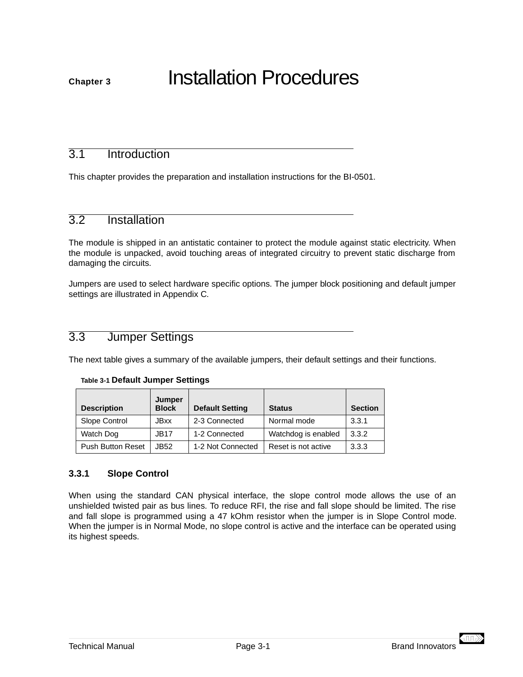<span id="page-18-0"></span>**Chapter 3** Installation Procedures

## 3.1 Introduction

This chapter provides the preparation and installation instructions for the BI-0501.

## 3.2 Installation

The module is shipped in an antistatic container to protect the module against static electricity. When the module is unpacked, avoid touching areas of integrated circuitry to prevent static discharge from damaging the circuits.

Jumpers are used to select hardware specific options. The jumper block positioning and default jumper settings are illustrated in Appendix C.

## 3.3 Jumper Settings

The next table gives a summary of the available jumpers, their default settings and their functions.

| <b>Description</b>       | Jumper<br><b>Block</b> | <b>Default Setting</b> | <b>Status</b>       | <b>Section</b> |
|--------------------------|------------------------|------------------------|---------------------|----------------|
| Slope Control            | <b>JBxx</b>            | 2-3 Connected          | Normal mode         | 3.3.1          |
| Watch Dog                | <b>JB17</b>            | 1-2 Connected          | Watchdog is enabled | 3.3.2          |
| <b>Push Button Reset</b> | JB52.                  | 1-2 Not Connected      | Reset is not active | 3.3.3          |

#### **Table 3-1 Default Jumper Settings**

## **3.3.1 Slope Control**

When using the standard CAN physical interface, the slope control mode allows the use of an unshielded twisted pair as bus lines. To reduce RFI, the rise and fall slope should be limited. The rise and fall slope is programmed using a 47 kOhm resistor when the jumper is in Slope Control mode. When the jumper is in Normal Mode, no slope control is active and the interface can be operated using its highest speeds.

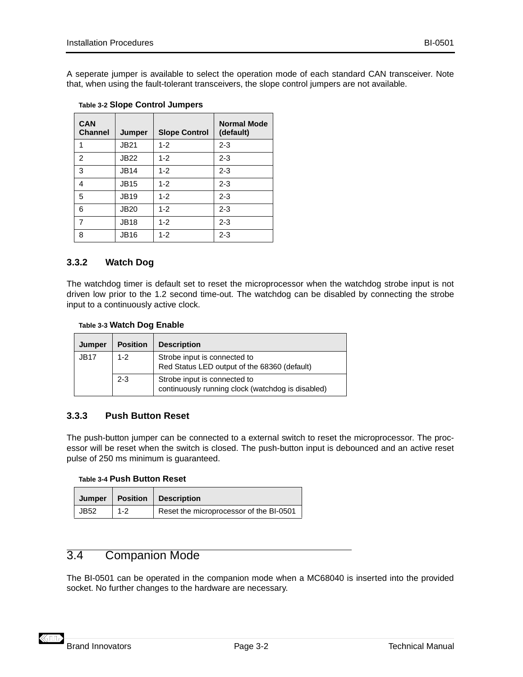<span id="page-19-0"></span>A seperate jumper is available to select the operation mode of each standard CAN transceiver. Note that, when using the fault-tolerant transceivers, the slope control jumpers are not available.

| <b>CAN</b><br><b>Channel</b> | Jumper      | <b>Slope Control</b> | <b>Normal Mode</b><br>(default) |
|------------------------------|-------------|----------------------|---------------------------------|
| 1                            | <b>JB21</b> | $1 - 2$              | $2 - 3$                         |
| 2                            | <b>JB22</b> | $1 - 2$              | $2 - 3$                         |
| 3                            | <b>JB14</b> | $1 - 2$              | $2 - 3$                         |
| 4                            | <b>JB15</b> | $1 - 2$              | $2 - 3$                         |
| 5                            | <b>JB19</b> | $1 - 2$              | $2 - 3$                         |
| 6                            | <b>JB20</b> | $1 - 2$              | $2 - 3$                         |
| 7                            | <b>JB18</b> | $1 - 2$              | $2 - 3$                         |
| 8                            | <b>JB16</b> | $1 - 2$              | $2 - 3$                         |

#### **Table 3-2 Slope Control Jumpers**

## **3.3.2 Watch Dog**

The watchdog timer is default set to reset the microprocessor when the watchdog strobe input is not driven low prior to the 1.2 second time-out. The watchdog can be disabled by connecting the strobe input to a continuously active clock.

#### **Table 3-3 Watch Dog Enable**

| Jumper      | <b>Position</b> | <b>Description</b>                                                                |
|-------------|-----------------|-----------------------------------------------------------------------------------|
| <b>JB17</b> | $1 - 2$         | Strobe input is connected to<br>Red Status LED output of the 68360 (default)      |
|             | $2 - 3$         | Strobe input is connected to<br>continuously running clock (watchdog is disabled) |

## **3.3.3 Push Button Reset**

The push-button jumper can be connected to a external switch to reset the microprocessor. The processor will be reset when the switch is closed. The push-button input is debounced and an active reset pulse of 250 ms minimum is guaranteed.

#### **Table 3-4 Push Button Reset**

| Jumper |         | <b>Position   Description</b>           |
|--------|---------|-----------------------------------------|
| JB52   | $1 - 2$ | Reset the microprocessor of the BI-0501 |

## 3.4 Companion Mode

The BI-0501 can be operated in the companion mode when a MC68040 is inserted into the provided socket. No further changes to the hardware are necessary.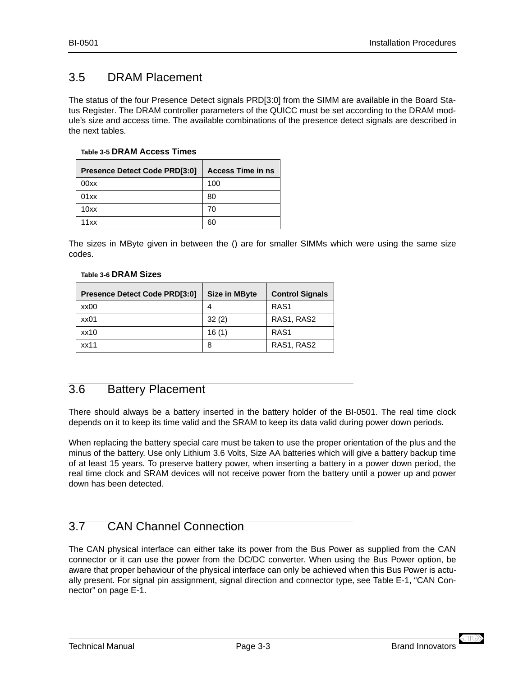## <span id="page-20-0"></span>3.5 DRAM Placement

The status of the four Presence Detect signals PRD[3:0] from the SIMM are available in the [Board Sta](#page-38-0)[tus Register.](#page-38-0) The DRAM controller parameters of the QUICC must be set according to the DRAM module's size and access time. The available combinations of the presence detect signals are described in the next tables.

#### **Table 3-5 DRAM Access Times**

| <b>Presence Detect Code PRD[3:0]</b> | <b>Access Time in ns</b> |
|--------------------------------------|--------------------------|
| 00xx                                 | 100                      |
| 01xx                                 | 80                       |
| 10xx                                 | 70                       |
| 11xx                                 | 60                       |

The sizes in MByte given in between the () are for smaller SIMMs which were using the same size codes.

#### **Table 3-6 DRAM Sizes**

| <b>Presence Detect Code PRD[3:0]</b> | <b>Size in MByte</b> | <b>Control Signals</b> |
|--------------------------------------|----------------------|------------------------|
| xx00                                 | 4                    | RAS <sub>1</sub>       |
| xx01                                 | 32(2)                | RAS1, RAS2             |
| $x \times 10$                        | 16(1)                | RAS <sub>1</sub>       |
| xx11                                 | 8                    | RAS1, RAS2             |

## 3.6 Battery Placement

There should always be a battery inserted in the battery holder of the BI-0501. The real time clock depends on it to keep its time valid and the SRAM to keep its data valid during power down periods.

When replacing the battery special care must be taken to use the proper orientation of the plus and the minus of the battery. Use only Lithium 3.6 Volts, Size AA batteries which will give a battery backup time of at least 15 years. To preserve battery power, when inserting a battery in a power down period, the real time clock and SRAM devices will not receive power from the battery until a power up and power down has been detected.

## 3.7 CAN Channel Connection

The CAN physical interface can either take its power from the Bus Power as supplied from the CAN connector or it can use the power from the DC/DC converter. When using the Bus Power option, be aware that proper behaviour of the physical interface can only be achieved when this Bus Power is actually present. For signal pin assignment, signal direction and connector type, see [Table E-1, "CAN Con](#page-54-0)[nector" on page E-1](#page-54-0).

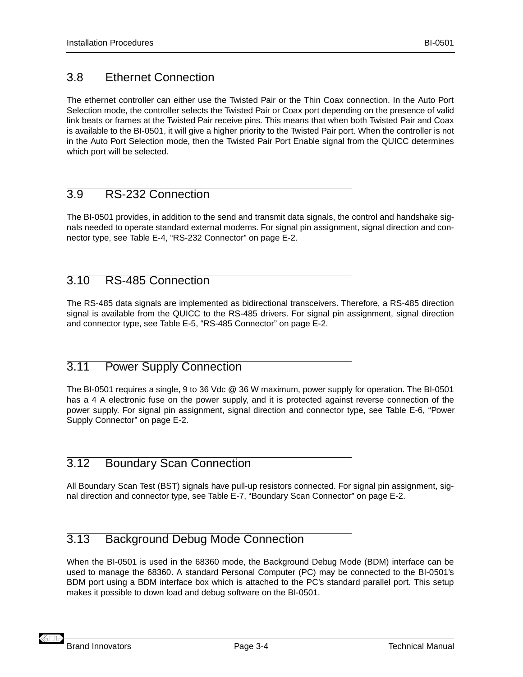## <span id="page-21-0"></span>3.8 Ethernet Connection

The ethernet controller can either use the Twisted Pair or the Thin Coax connection. In the Auto Port Selection mode, the controller selects the Twisted Pair or Coax port depending on the presence of valid link beats or frames at the Twisted Pair receive pins. This means that when both Twisted Pair and Coax is available to the BI-0501, it will give a higher priority to the Twisted Pair port. When the controller is not in the Auto Port Selection mode, then the Twisted Pair Port Enable signal from the QUICC determines which port will be selected.

## 3.9 RS-232 Connection

The BI-0501 provides, in addition to the send and transmit data signals, the control and handshake signals needed to operate standard external modems. For signal pin assignment, signal direction and connector type, see [Table E-4, "RS-232 Connector" on page E-2](#page-55-0).

## 3.10 RS-485 Connection

The RS-485 data signals are implemented as bidirectional transceivers. Therefore, a RS-485 direction signal is available from the QUICC to the RS-485 drivers. For signal pin assignment, signal direction and connector type, see [Table E-5, "RS-485 Connector" on page E-2](#page-55-0).

## 3.11 Power Supply Connection

The BI-0501 requires a single, 9 to 36 Vdc @ 36 W maximum, power supply for operation. The BI-0501 has a 4 A electronic fuse on the power supply, and it is protected against reverse connection of the power supply. For signal pin assignment, signal direction and connector type, see [Table E-6, "Power](#page-55-0) [Supply Connector" on page E-2](#page-55-0).

## 3.12 Boundary Scan Connection

All Boundary Scan Test (BST) signals have pull-up resistors connected. For signal pin assignment, signal direction and connector type, see [Table E-7, "Boundary Scan Connector" on page E-2](#page-55-0).

## 3.13 Background Debug Mode Connection

When the BI-0501 is used in the 68360 mode, the Background Debug Mode (BDM) interface can be used to manage the 68360. A standard Personal Computer (PC) may be connected to the BI-0501's BDM port using a BDM interface box which is attached to the PC's standard parallel port. This setup makes it possible to down load and debug software on the BI-0501.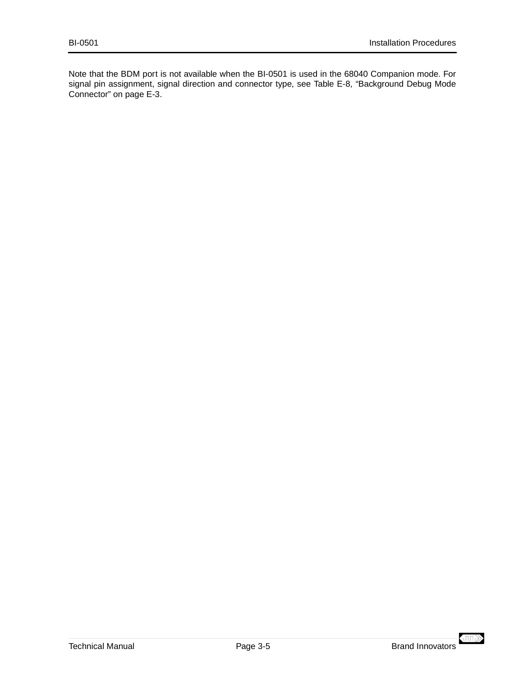Note that the BDM port is not available when the BI-0501 is used in the 68040 Companion mode. For signal pin assignment, signal direction and connector type, see [Table E-8, "Background Debug Mode](#page-56-0) [Connector" on page E-3](#page-56-0).

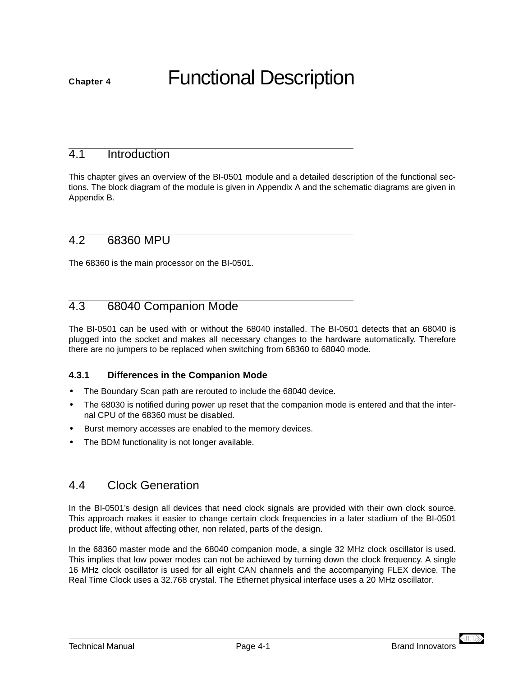# <span id="page-24-0"></span>**Chapter 4** Functional Description

## 4.1 Introduction

This chapter gives an overview of the BI-0501 module and a detailed description of the functional sections. The block diagram of the module is given in Appendix A and the schematic diagrams are given in Appendix B.

## 4.2 68360 MPU

The 68360 is the main processor on the BI-0501.

## 4.3 68040 Companion Mode

The BI-0501 can be used with or without the 68040 installed. The BI-0501 detects that an 68040 is plugged into the socket and makes all necessary changes to the hardware automatically. Therefore there are no jumpers to be replaced when switching from 68360 to 68040 mode.

## **4.3.1 Differences in the Companion Mode**

- **•** The Boundary Scan path are rerouted to include the 68040 device.
- **•** The 68030 is notified during power up reset that the companion mode is entered and that the internal CPU of the 68360 must be disabled.
- **•** Burst memory accesses are enabled to the memory devices.
- **•** The BDM functionality is not longer available.

## 4.4 Clock Generation

In the BI-0501's design all devices that need clock signals are provided with their own clock source. This approach makes it easier to change certain clock frequencies in a later stadium of the BI-0501 product life, without affecting other, non related, parts of the design.

In the 68360 master mode and the 68040 companion mode, a single 32 MHz clock oscillator is used. This implies that low power modes can not be achieved by turning down the clock frequency. A single 16 MHz clock oscillator is used for all eight CAN channels and the accompanying FLEX device. The Real Time Clock uses a 32.768 crystal. The Ethernet physical interface uses a 20 MHz oscillator.

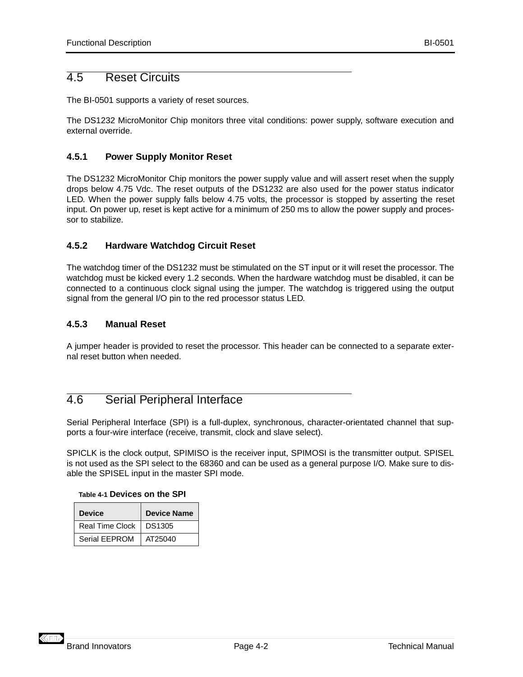## <span id="page-25-0"></span>4.5 Reset Circuits

The BI-0501 supports a variety of reset sources.

The DS1232 MicroMonitor Chip monitors three vital conditions: power supply, software execution and external override.

## **4.5.1 Power Supply Monitor Reset**

The DS1232 MicroMonitor Chip monitors the power supply value and will assert reset when the supply drops below 4.75 Vdc. The reset outputs of the DS1232 are also used for the power status indicator LED. When the power supply falls below 4.75 volts, the processor is stopped by asserting the reset input. On power up, reset is kept active for a minimum of 250 ms to allow the power supply and processor to stabilize.

## **4.5.2 Hardware Watchdog Circuit Reset**

The watchdog timer of the DS1232 must be stimulated on the ST input or it will reset the processor. The watchdog must be kicked every 1.2 seconds. When the hardware watchdog must be disabled, it can be connected to a continuous clock signal using the jumper. The watchdog is triggered using the output signal from the general I/O pin to the red processor status LED.

## **4.5.3 Manual Reset**

A jumper header is provided to reset the processor. This header can be connected to a separate external reset button when needed.

## 4.6 Serial Peripheral Interface

Serial Peripheral Interface (SPI) is a full-duplex, synchronous, character-orientated channel that supports a four-wire interface (receive, transmit, clock and slave select).

SPICLK is the clock output, SPIMISO is the receiver input, SPIMOSI is the transmitter output. SPISEL is not used as the SPI select to the 68360 and can be used as a general purpose I/O. Make sure to disable the SPISEL input in the master SPI mode.

#### **Table 4-1 Devices on the SPI**

| <b>Device</b>   | <b>Device Name</b> |
|-----------------|--------------------|
| Real Time Clock | DS1305             |
| Serial FFPROM   | AT25040            |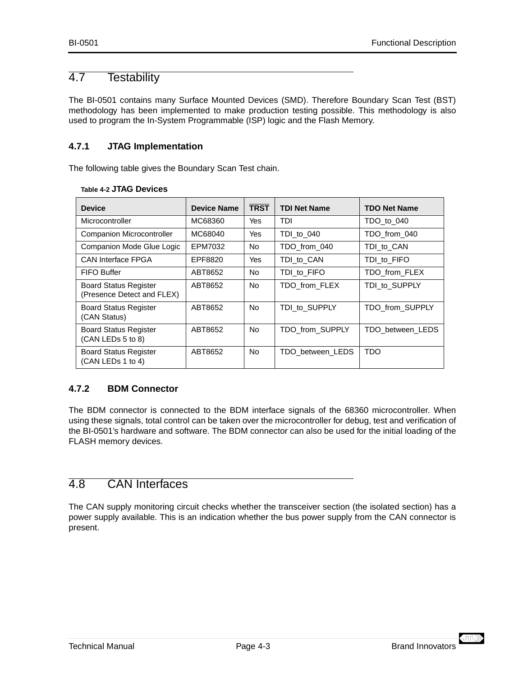## <span id="page-26-0"></span>4.7 Testability

The BI-0501 contains many Surface Mounted Devices (SMD). Therefore Boundary Scan Test (BST) methodology has been implemented to make production testing possible. This methodology is also used to program the In-System Programmable (ISP) logic and the Flash Memory.

## **4.7.1 JTAG Implementation**

The following table gives the Boundary Scan Test chain.

| <b>Device</b>                                              | <b>Device Name</b> | <b>TRST</b> | <b>TDI Net Name</b> | <b>TDO Net Name</b> |
|------------------------------------------------------------|--------------------|-------------|---------------------|---------------------|
| Microcontroller                                            | MC68360            | Yes         | TDI                 | TDO to 040          |
| <b>Companion Microcontroller</b>                           | MC68040            | Yes         | TDI to 040          | TDO from 040        |
| Companion Mode Glue Logic                                  | EPM7032            | <b>No</b>   | TDO_from_040        | TDI to CAN          |
| <b>CAN Interface FPGA</b>                                  | EPF8820            | Yes         | TDI to CAN          | TDI to FIFO         |
| FIFO Buffer                                                | ABT8652            | No.         | TDI to FIFO         | TDO from FLEX       |
| <b>Board Status Register</b><br>(Presence Detect and FLEX) | ABT8652            | <b>No</b>   | TDO from FLEX       | TDI to SUPPLY       |
| <b>Board Status Register</b><br>(CAN Status)               | ABT8652            | <b>No</b>   | TDI to SUPPLY       | TDO from SUPPLY     |
| <b>Board Status Register</b><br>(CAN LEDs 5 to 8)          | ABT8652            | <b>No</b>   | TDO from SUPPLY     | TDO between LEDS    |
| <b>Board Status Register</b><br>(CAN LEDs 1 to 4)          | ABT8652            | <b>No</b>   | TDO between LEDS    | TDO                 |

#### **Table 4-2 JTAG Devices**

## **4.7.2 BDM Connector**

The BDM connector is connected to the BDM interface signals of the 68360 microcontroller. When using these signals, total control can be taken over the microcontroller for debug, test and verification of the BI-0501's hardware and software. The BDM connector can also be used for the initial loading of the FLASH memory devices.

## 4.8 CAN Interfaces

The CAN supply monitoring circuit checks whether the transceiver section (the isolated section) has a power supply available. This is an indication whether the bus power supply from the CAN connector is present.

 $\langle \Pi \rangle$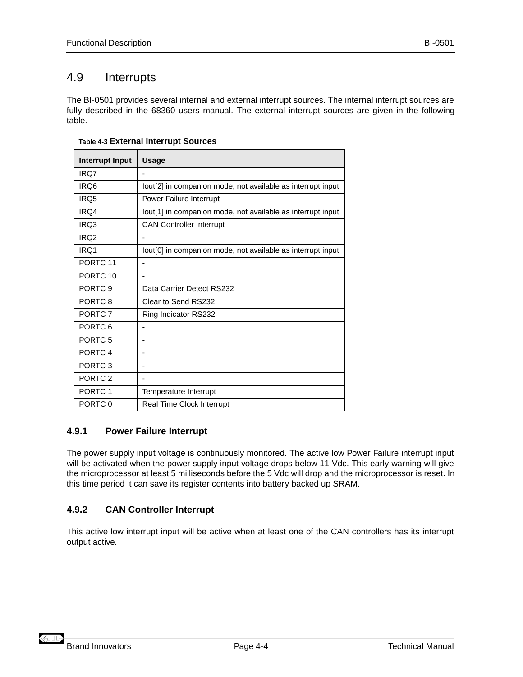## <span id="page-27-0"></span>4.9 Interrupts

The BI-0501 provides several internal and external interrupt sources. The internal interrupt sources are fully described in the 68360 users manual. The external interrupt sources are given in the following table.

| Interrupt Input     | <b>Usage</b>                                                            |
|---------------------|-------------------------------------------------------------------------|
| IR <sub>O</sub> 7   | $\blacksquare$                                                          |
| IRQ6                | lout[2] in companion mode, not available as interrupt input             |
| IR <sub>O5</sub>    | Power Failure Interrupt                                                 |
| IRQ4                | lout[1] in companion mode, not available as interrupt input             |
| IRQ3                | <b>CAN Controller Interrupt</b>                                         |
| IRQ <sub>2</sub>    |                                                                         |
| IR <sub>O</sub> 1   | lout <sup>[0]</sup> in companion mode, not available as interrupt input |
| PORTC <sub>11</sub> |                                                                         |
| PORTC <sub>10</sub> | ۰                                                                       |
| PORTC <sub>9</sub>  | Data Carrier Detect RS232                                               |
| PORTC <sub>8</sub>  | Clear to Send RS232                                                     |
| PORTC <sub>7</sub>  | Ring Indicator RS232                                                    |
| PORTC <sub>6</sub>  |                                                                         |
| PORTC <sub>5</sub>  | ۰                                                                       |
| PORTC <sub>4</sub>  | ۰                                                                       |
| PORTC <sub>3</sub>  | ٠                                                                       |
| PORTC <sub>2</sub>  |                                                                         |
| PORTC 1             | Temperature Interrupt                                                   |
| PORTC 0             | Real Time Clock Interrupt                                               |

#### **Table 4-3 External Interrupt Sources**

#### **4.9.1 Power Failure Interrupt**

The power supply input voltage is continuously monitored. The active low Power Failure interrupt input will be activated when the power supply input voltage drops below 11 Vdc. This early warning will give the microprocessor at least 5 milliseconds before the 5 Vdc will drop and the microprocessor is reset. In this time period it can save its register contents into battery backed up SRAM.

## **4.9.2 CAN Controller Interrupt**

This active low interrupt input will be active when at least one of the CAN controllers has its interrupt output active.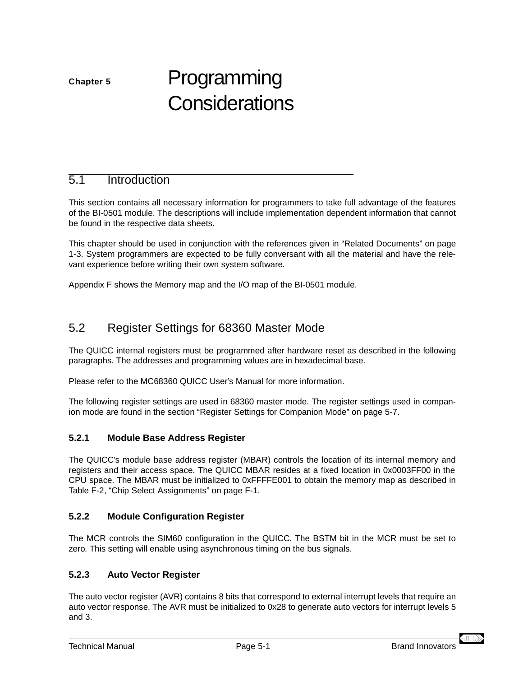# <span id="page-28-0"></span>**Chapter 5** Programming **Considerations**

## 5.1 Introduction

This section contains all necessary information for programmers to take full advantage of the features of the BI-0501 module. The descriptions will include implementation dependent information that cannot be found in the respective data sheets.

This chapter should be used in conjunction with the references given in ["Related Documents" on page](#page-12-0) [1-3.](#page-12-0) System programmers are expected to be fully conversant with all the material and have the relevant experience before writing their own system software.

Appendix F shows the Memory map and the I/O map of the BI-0501 module.

## 5.2 Register Settings for 68360 Master Mode

The QUICC internal registers must be programmed after hardware reset as described in the following paragraphs. The addresses and programming values are in hexadecimal base.

Please refer to the MC68360 QUICC User's Manual for more information.

The following register settings are used in 68360 master mode. The register settings used in companion mode are found in the section ["Register Settings for Companion Mode" on page 5-7](#page-34-0).

## **5.2.1 Module Base Address Register**

The QUICC's module base address register (MBAR) controls the location of its internal memory and registers and their access space. The QUICC MBAR resides at a fixed location in 0x0003FF00 in the CPU space. The MBAR must be initialized to 0xFFFFE001 to obtain the memory map as described in [Table F-2, "Chip Select Assignments" on page F-1](#page-58-0).

## **5.2.2 Module Configuration Register**

The MCR controls the SIM60 configuration in the QUICC. The BSTM bit in the MCR must be set to zero. This setting will enable using asynchronous timing on the bus signals.

#### **5.2.3 Auto Vector Register**

The auto vector register (AVR) contains 8 bits that correspond to external interrupt levels that require an auto vector response. The AVR must be initialized to 0x28 to generate auto vectors for interrupt levels 5 and 3.

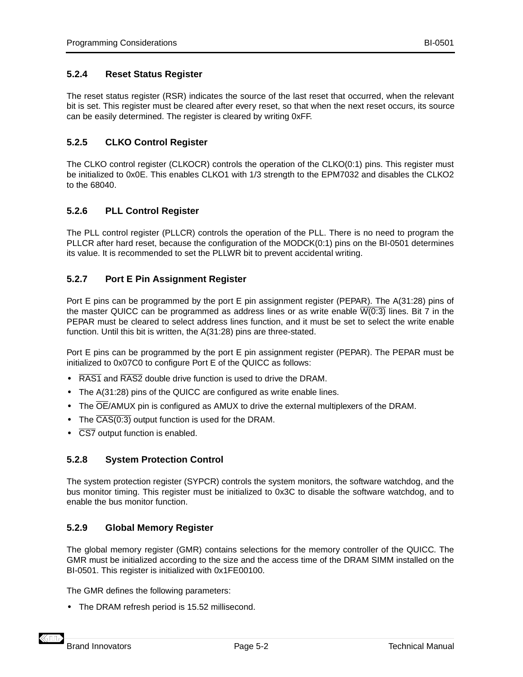#### <span id="page-29-0"></span>**5.2.4 Reset Status Register**

The reset status register (RSR) indicates the source of the last reset that occurred, when the relevant bit is set. This register must be cleared after every reset, so that when the next reset occurs, its source can be easily determined. The register is cleared by writing 0xFF.

#### **5.2.5 CLKO Control Register**

The CLKO control register (CLKOCR) controls the operation of the CLKO(0:1) pins. This register must be initialized to 0x0E. This enables CLKO1 with 1/3 strength to the EPM7032 and disables the CLKO2 to the 68040.

#### **5.2.6 PLL Control Register**

The PLL control register (PLLCR) controls the operation of the PLL. There is no need to program the PLLCR after hard reset, because the configuration of the MODCK(0:1) pins on the BI-0501 determines its value. It is recommended to set the PLLWR bit to prevent accidental writing.

#### **5.2.7 Port E Pin Assignment Register**

Port E pins can be programmed by the port E pin assignment register (PEPAR). The A(31:28) pins of the master QUICC can be programmed as address lines or as write enable  $\overline{W(0:3)}$  lines. Bit 7 in the PEPAR must be cleared to select address lines function, and it must be set to select the write enable function. Until this bit is written, the A(31:28) pins are three-stated.

Port E pins can be programmed by the port E pin assignment register (PEPAR). The PEPAR must be initialized to 0x07C0 to configure Port E of the QUICC as follows:

- **•** RAS1 and RAS2 double drive function is used to drive the DRAM.
- **•** The A(31:28) pins of the QUICC are configured as write enable lines.
- **•** The OE/AMUX pin is configured as AMUX to drive the external multiplexers of the DRAM.
- The  $\overline{CAS(0:3)}$  output function is used for the DRAM.
- **•** CS7 output function is enabled.

#### **5.2.8 System Protection Control**

The system protection register (SYPCR) controls the system monitors, the software watchdog, and the bus monitor timing. This register must be initialized to 0x3C to disable the software watchdog, and to enable the bus monitor function.

#### **5.2.9 Global Memory Register**

The global memory register (GMR) contains selections for the memory controller of the QUICC. The GMR must be initialized according to the size and the access time of the DRAM SIMM installed on the BI-0501. This register is initialized with 0x1FE00100.

The GMR defines the following parameters:

**•** The DRAM refresh period is 15.52 millisecond.

**KHIL**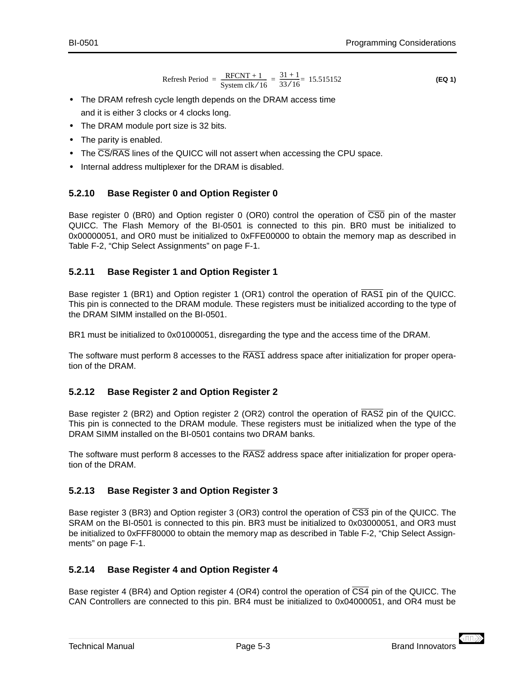<span id="page-30-0"></span>
$$
\mathsf{BI}\text{-}\mathsf{0501}
$$

Refresh Period = 
$$
\frac{\text{RFCNT} + 1}{\text{System clk} / 16} = \frac{31 + 1}{33 / 16} = 15.515152
$$
 (EQ 1)

- **•** The DRAM refresh cycle length depends on the DRAM access time and it is either 3 clocks or 4 clocks long.
- **•** The DRAM module port size is 32 bits.
- **•** The parity is enabled.
- **•** The CS/RAS lines of the QUICC will not assert when accessing the CPU space.
- **•** Internal address multiplexer for the DRAM is disabled.

## **5.2.10 Base Register 0 and Option Register 0**

Base register 0 (BR0) and Option register 0 (OR0) control the operation of CS0 pin of the master QUICC. The Flash Memory of the BI-0501 is connected to this pin. BR0 must be initialized to 0x00000051, and OR0 must be initialized to 0xFFE00000 to obtain the memory map as described in [Table F-2, "Chip Select Assignments" on page F-1](#page-58-0).

## **5.2.11 Base Register 1 and Option Register 1**

Base register 1 (BR1) and Option register 1 (OR1) control the operation of RAS1 pin of the QUICC. This pin is connected to the DRAM module. These registers must be initialized according to the type of the DRAM SIMM installed on the BI-0501.

BR1 must be initialized to 0x01000051, disregarding the type and the access time of the DRAM.

The software must perform 8 accesses to the RAS1 address space after initialization for proper operation of the DRAM.

## **5.2.12 Base Register 2 and Option Register 2**

Base register 2 (BR2) and Option register 2 (OR2) control the operation of RAS2 pin of the QUICC. This pin is connected to the DRAM module. These registers must be initialized when the type of the DRAM SIMM installed on the BI-0501 contains two DRAM banks.

The software must perform 8 accesses to the RAS2 address space after initialization for proper operation of the DRAM.

## **5.2.13 Base Register 3 and Option Register 3**

Base register 3 (BR3) and Option register 3 (OR3) control the operation of CS3 pin of the QUICC. The SRAM on the BI-0501 is connected to this pin. BR3 must be initialized to 0x03000051, and OR3 must be initialized to 0xFFF80000 to obtain the memory map as described in [Table F-2, "Chip Select Assign](#page-58-0)[ments" on page F-1](#page-58-0).

## **5.2.14 Base Register 4 and Option Register 4**

Base register 4 (BR4) and Option register 4 (OR4) control the operation of  $\overline{CS4}$  pin of the QUICC. The CAN Controllers are connected to this pin. BR4 must be initialized to 0x04000051, and OR4 must be

 $\left\langle \mathrm{m} \right\rangle$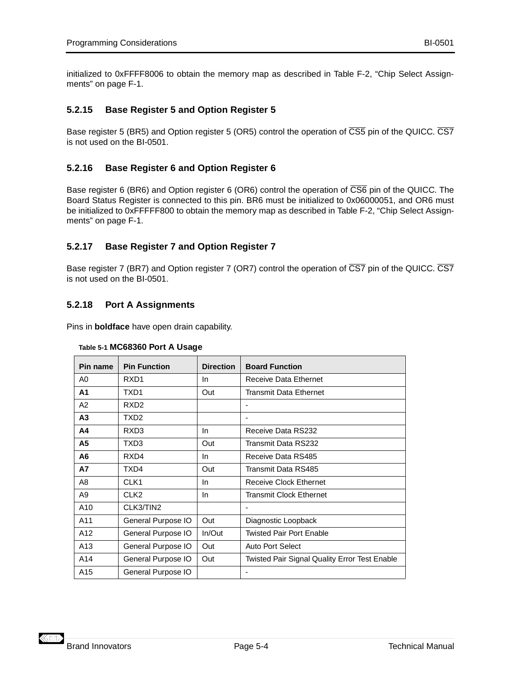<span id="page-31-0"></span>initialized to 0xFFFF8006 to obtain the memory map as described in [Table F-2, "Chip Select Assign](#page-58-0)[ments" on page F-1](#page-58-0).

## **5.2.15 Base Register 5 and Option Register 5**

Base register 5 (BR5) and Option register 5 (OR5) control the operation of CS5 pin of the QUICC. CS7 is not used on the BI-0501.

## **5.2.16 Base Register 6 and Option Register 6**

Base register 6 (BR6) and Option register 6 (OR6) control the operation of  $\overline{CS6}$  pin of the QUICC. The Board Status Register is connected to this pin. BR6 must be initialized to 0x06000051, and OR6 must be initialized to 0xFFFFF800 to obtain the memory map as described in [Table F-2, "Chip Select Assign](#page-58-0)[ments" on page F-1](#page-58-0).

## **5.2.17 Base Register 7 and Option Register 7**

Base register 7 (BR7) and Option register 7 (OR7) control the operation of CS7 pin of the QUICC. CS7 is not used on the BI-0501.

## **5.2.18 Port A Assignments**

Pins in **boldface** have open drain capability.

| Pin name       | <b>Pin Function</b> | <b>Direction</b> | <b>Board Function</b>                                |
|----------------|---------------------|------------------|------------------------------------------------------|
| A0             | RXD <sub>1</sub>    | In.              | Receive Data Ethernet                                |
| A <sub>1</sub> | TXD1                | Out              | Transmit Data Ethernet                               |
| A <sub>2</sub> | RXD <sub>2</sub>    |                  | $\overline{\phantom{a}}$                             |
| А3             | TXD2                |                  |                                                      |
| Α4             | RXD3                | In               | Receive Data RS232                                   |
| A5             | TXD3                | Out              | Transmit Data RS232                                  |
| A6             | RXD4                | In               | Receive Data RS485                                   |
| A7             | TXD4                | Out              | Transmit Data RS485                                  |
| A8             | CLK <sub>1</sub>    | <b>In</b>        | Receive Clock Ethernet                               |
| A9             | CLK <sub>2</sub>    | In.              | Transmit Clock Ethernet                              |
| A10            | CLK3/TIN2           |                  | $\overline{\phantom{0}}$                             |
| A11            | General Purpose IO  | Out              | Diagnostic Loopback                                  |
| A12            | General Purpose IO  | In/Out           | Twisted Pair Port Enable                             |
| A13            | General Purpose IO  | Out              | Auto Port Select                                     |
| A14            | General Purpose IO  | Out              | <b>Twisted Pair Signal Quality Error Test Enable</b> |
| A15            | General Purpose IO  |                  |                                                      |

| Table 5-1 MC68360 Port A Usage |  |
|--------------------------------|--|
|                                |  |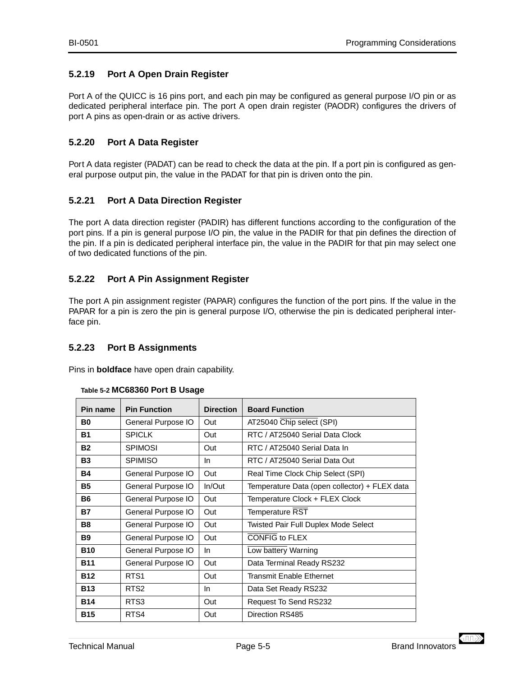## <span id="page-32-0"></span>**5.2.19 Port A Open Drain Register**

Port A of the QUICC is 16 pins port, and each pin may be configured as general purpose I/O pin or as dedicated peripheral interface pin. The port A open drain register (PAODR) configures the drivers of port A pins as open-drain or as active drivers.

## **5.2.20 Port A Data Register**

Port A data register (PADAT) can be read to check the data at the pin. If a port pin is configured as general purpose output pin, the value in the PADAT for that pin is driven onto the pin.

## **5.2.21 Port A Data Direction Register**

The port A data direction register (PADIR) has different functions according to the configuration of the port pins. If a pin is general purpose I/O pin, the value in the PADIR for that pin defines the direction of the pin. If a pin is dedicated peripheral interface pin, the value in the PADIR for that pin may select one of two dedicated functions of the pin.

## **5.2.22 Port A Pin Assignment Register**

The port A pin assignment register (PAPAR) configures the function of the port pins. If the value in the PAPAR for a pin is zero the pin is general purpose I/O, otherwise the pin is dedicated peripheral interface pin.

## **5.2.23 Port B Assignments**

Pins in **boldface** have open drain capability.

| Pin name   | <b>Pin Function</b> | <b>Direction</b> | <b>Board Function</b>                         |
|------------|---------------------|------------------|-----------------------------------------------|
| B0         | General Purpose IO  | Out              | AT25040 Chip select (SPI)                     |
| <b>B1</b>  | <b>SPICLK</b>       | Out              | RTC / AT25040 Serial Data Clock               |
| <b>B2</b>  | <b>SPIMOSI</b>      | Out              | RTC / AT25040 Serial Data In                  |
| <b>B3</b>  | <b>SPIMISO</b>      | In.              | RTC / AT25040 Serial Data Out                 |
| <b>B4</b>  | General Purpose IO  | Out              | Real Time Clock Chip Select (SPI)             |
| <b>B5</b>  | General Purpose IO  | In/Out           | Temperature Data (open collector) + FLEX data |
| <b>B6</b>  | General Purpose IO  | Out              | Temperature Clock + FLEX Clock                |
| <b>B7</b>  | General Purpose IO  | Out              | <b>Temperature RST</b>                        |
| <b>B8</b>  | General Purpose IO  | Out              | <b>Twisted Pair Full Duplex Mode Select</b>   |
| <b>B9</b>  | General Purpose IO  | Out              | <b>CONFIG to FLEX</b>                         |
| <b>B10</b> | General Purpose IO  | In.              | Low battery Warning                           |
| <b>B11</b> | General Purpose IO  | Out              | Data Terminal Ready RS232                     |
| <b>B12</b> | RTS <sub>1</sub>    | Out              | <b>Transmit Enable Ethernet</b>               |
| <b>B13</b> | RTS <sub>2</sub>    | <b>In</b>        | Data Set Ready RS232                          |
| <b>B14</b> | RTS3                | Out              | Request To Send RS232                         |
| <b>B15</b> | RTS4                | Out              | Direction RS485                               |

#### **Table 5-2 MC68360 Port B Usage**

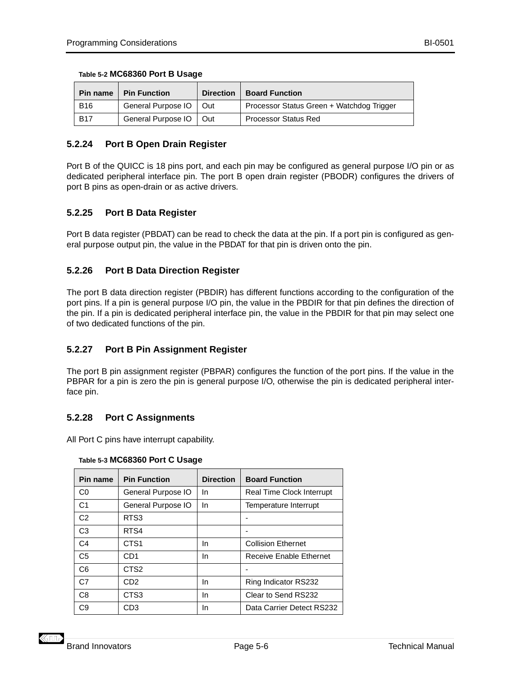<span id="page-33-0"></span>

| Table 5-2 MC68360 Port B Usage |  |  |  |
|--------------------------------|--|--|--|
|--------------------------------|--|--|--|

| Pin name   | <b>Pin Function</b> | <b>Direction</b> | <b>Board Function</b>                     |
|------------|---------------------|------------------|-------------------------------------------|
| <b>B16</b> | General Purpose IO  | Out              | Processor Status Green + Watchdog Trigger |
| <b>B17</b> | General Purpose IO  | Out              | <b>Processor Status Red</b>               |

## **5.2.24 Port B Open Drain Register**

Port B of the QUICC is 18 pins port, and each pin may be configured as general purpose I/O pin or as dedicated peripheral interface pin. The port B open drain register (PBODR) configures the drivers of port B pins as open-drain or as active drivers.

## **5.2.25 Port B Data Register**

Port B data register (PBDAT) can be read to check the data at the pin. If a port pin is configured as general purpose output pin, the value in the PBDAT for that pin is driven onto the pin.

## **5.2.26 Port B Data Direction Register**

The port B data direction register (PBDIR) has different functions according to the configuration of the port pins. If a pin is general purpose I/O pin, the value in the PBDIR for that pin defines the direction of the pin. If a pin is dedicated peripheral interface pin, the value in the PBDIR for that pin may select one of two dedicated functions of the pin.

#### **5.2.27 Port B Pin Assignment Register**

The port B pin assignment register (PBPAR) configures the function of the port pins. If the value in the PBPAR for a pin is zero the pin is general purpose I/O, otherwise the pin is dedicated peripheral interface pin.

## **5.2.28 Port C Assignments**

All Port C pins have interrupt capability.

| Pin name       | <b>Pin Function</b> | <b>Direction</b> | <b>Board Function</b>     |
|----------------|---------------------|------------------|---------------------------|
| C <sub>0</sub> | General Purpose IO  | In.              | Real Time Clock Interrupt |
| C1             | General Purpose IO  | In.              | Temperature Interrupt     |
| C <sub>2</sub> | RTS3                |                  |                           |
| C <sub>3</sub> | RTS4                |                  |                           |
| C <sub>4</sub> | CTS <sub>1</sub>    | In               | <b>Collision Ethernet</b> |
| C <sub>5</sub> | CD <sub>1</sub>     | In               | Receive Enable Ethernet   |
| C <sub>6</sub> | CTS <sub>2</sub>    |                  |                           |
| C <sub>7</sub> | CD <sub>2</sub>     | In               | Ring Indicator RS232      |
| C <sub>8</sub> | CTS3                | In               | Clear to Send RS232       |
| C9             | CD3                 | In               | Data Carrier Detect RS232 |

#### **Table 5-3 MC68360 Port C Usage**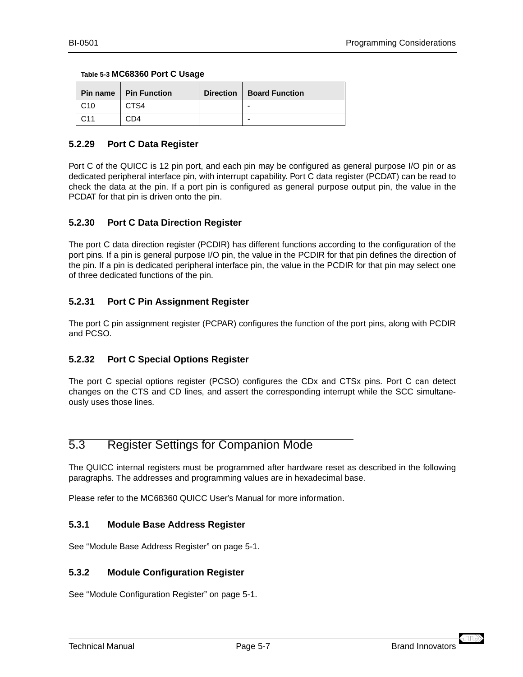|                 | <b>Pin name   Pin Function</b> | Direction   Board Function |
|-----------------|--------------------------------|----------------------------|
| C <sub>10</sub> | CTS4                           | -                          |
| C <sub>11</sub> | CD4                            | -                          |

#### <span id="page-34-0"></span>**Table 5-3 MC68360 Port C Usage**

## **5.2.29 Port C Data Register**

Port C of the QUICC is 12 pin port, and each pin may be configured as general purpose I/O pin or as dedicated peripheral interface pin, with interrupt capability. Port C data register (PCDAT) can be read to check the data at the pin. If a port pin is configured as general purpose output pin, the value in the PCDAT for that pin is driven onto the pin.

## **5.2.30 Port C Data Direction Register**

The port C data direction register (PCDIR) has different functions according to the configuration of the port pins. If a pin is general purpose I/O pin, the value in the PCDIR for that pin defines the direction of the pin. If a pin is dedicated peripheral interface pin, the value in the PCDIR for that pin may select one of three dedicated functions of the pin.

## **5.2.31 Port C Pin Assignment Register**

The port C pin assignment register (PCPAR) configures the function of the port pins, along with PCDIR and PCSO.

## **5.2.32 Port C Special Options Register**

The port C special options register (PCSO) configures the CDx and CTSx pins. Port C can detect changes on the CTS and CD lines, and assert the corresponding interrupt while the SCC simultaneously uses those lines.

## 5.3 Register Settings for Companion Mode

The QUICC internal registers must be programmed after hardware reset as described in the following paragraphs. The addresses and programming values are in hexadecimal base.

Please refer to the MC68360 QUICC User's Manual for more information.

## **5.3.1 Module Base Address Register**

See ["Module Base Address Register" on page 5-1](#page-28-0).

#### **5.3.2 Module Configuration Register**

See ["Module Configuration Register" on page 5-1](#page-28-0).

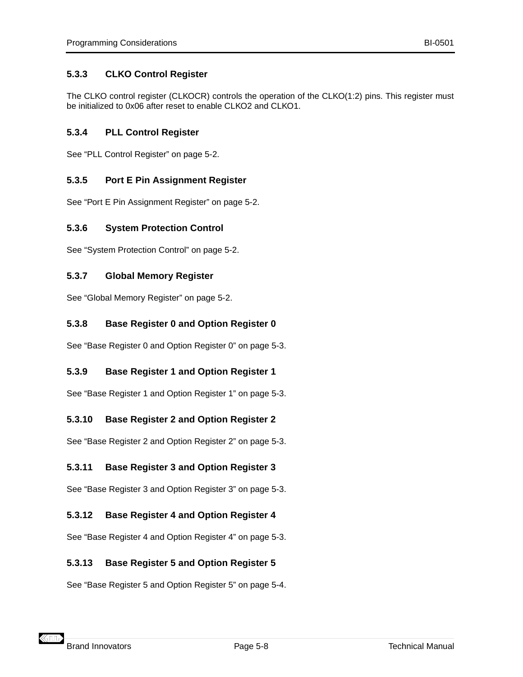## <span id="page-35-0"></span>**5.3.3 CLKO Control Register**

The CLKO control register (CLKOCR) controls the operation of the CLKO(1:2) pins. This register must be initialized to 0x06 after reset to enable CLKO2 and CLKO1.

## **5.3.4 PLL Control Register**

See ["PLL Control Register" on page 5-2](#page-29-0).

## **5.3.5 Port E Pin Assignment Register**

See ["Port E Pin Assignment Register" on page 5-2](#page-29-0).

## **5.3.6 System Protection Control**

See ["System Protection Control" on page 5-2](#page-29-0).

## **5.3.7 Global Memory Register**

See ["Global Memory Register" on page 5-2](#page-29-0).

## **5.3.8 Base Register 0 and Option Register 0**

See ["Base Register 0 and Option Register 0" on page 5-3](#page-30-0).

## **5.3.9 Base Register 1 and Option Register 1**

See ["Base Register 1 and Option Register 1" on page 5-3](#page-30-0).

## **5.3.10 Base Register 2 and Option Register 2**

See ["Base Register 2 and Option Register 2" on page 5-3](#page-30-0).

## **5.3.11 Base Register 3 and Option Register 3**

See ["Base Register 3 and Option Register 3" on page 5-3](#page-30-0).

## **5.3.12 Base Register 4 and Option Register 4**

See ["Base Register 4 and Option Register 4" on page 5-3](#page-30-0).

## **5.3.13 Base Register 5 and Option Register 5**

See ["Base Register 5 and Option Register 5" on page 5-4](#page-31-0).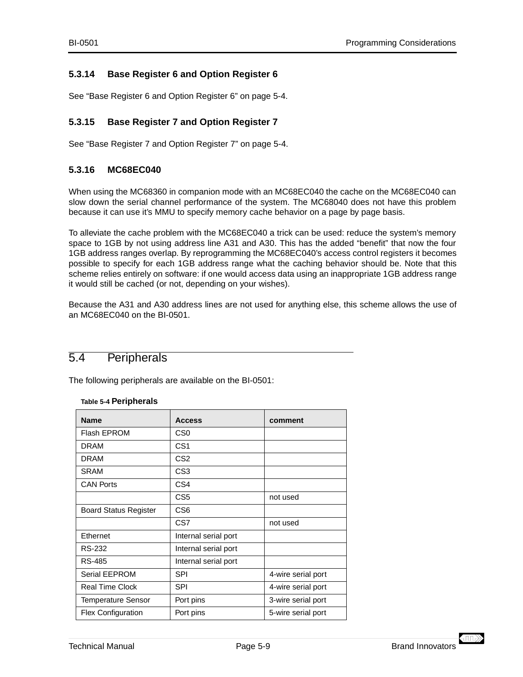## <span id="page-36-0"></span>**5.3.14 Base Register 6 and Option Register 6**

See ["Base Register 6 and Option Register 6" on page 5-4](#page-31-0).

## **5.3.15 Base Register 7 and Option Register 7**

See ["Base Register 7 and Option Register 7" on page 5-4](#page-31-0).

## **5.3.16 MC68EC040**

When using the MC68360 in companion mode with an MC68EC040 the cache on the MC68EC040 can slow down the serial channel performance of the system. The MC68040 does not have this problem because it can use it's MMU to specify memory cache behavior on a page by page basis.

To alleviate the cache problem with the MC68EC040 a trick can be used: reduce the system's memory space to 1GB by not using address line A31 and A30. This has the added "benefit" that now the four 1GB address ranges overlap. By reprogramming the MC68EC040's access control registers it becomes possible to specify for each 1GB address range what the caching behavior should be. Note that this scheme relies entirely on software: if one would access data using an inappropriate 1GB address range it would still be cached (or not, depending on your wishes).

Because the A31 and A30 address lines are not used for anything else, this scheme allows the use of an MC68EC040 on the BI-0501.

## 5.4 Peripherals

The following peripherals are available on the BI-0501:

#### **Table 5-4 Peripherals**

| <b>Name</b>                  | <b>Access</b>        | comment            |
|------------------------------|----------------------|--------------------|
| Flash EPROM                  | CS0                  |                    |
| <b>DRAM</b>                  | CS <sub>1</sub>      |                    |
| <b>DRAM</b>                  | CS <sub>2</sub>      |                    |
| <b>SRAM</b>                  | CS <sub>3</sub>      |                    |
| <b>CAN Ports</b>             | CS <sub>4</sub>      |                    |
|                              | CS <sub>5</sub>      | not used           |
| <b>Board Status Register</b> | CS <sub>6</sub>      |                    |
|                              | CS7                  | not used           |
| Ethernet                     | Internal serial port |                    |
| RS-232                       | Internal serial port |                    |
| <b>RS-485</b>                | Internal serial port |                    |
| Serial EEPROM                | <b>SPI</b>           | 4-wire serial port |
| <b>Real Time Clock</b>       | <b>SPI</b>           | 4-wire serial port |
| <b>Temperature Sensor</b>    | Port pins            | 3-wire serial port |
| <b>Flex Configuration</b>    | Port pins            | 5-wire serial port |

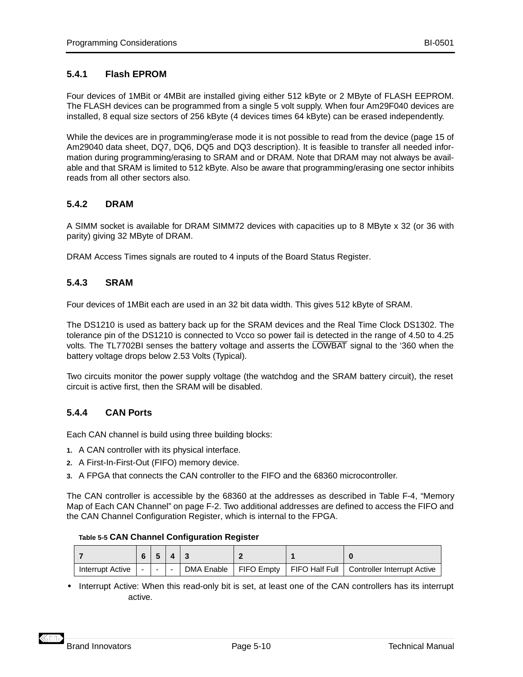## <span id="page-37-0"></span>**5.4.1 Flash EPROM**

Four devices of 1MBit or 4MBit are installed giving either 512 kByte or 2 MByte of FLASH EEPROM. The FLASH devices can be programmed from a single 5 volt supply. When four Am29F040 devices are installed, 8 equal size sectors of 256 kByte (4 devices times 64 kByte) can be erased independently.

While the devices are in programming/erase mode it is not possible to read from the device (page 15 of Am29040 data sheet, DQ7, DQ6, DQ5 and DQ3 description). It is feasible to transfer all needed information during programming/erasing to SRAM and or DRAM. Note that DRAM may not always be available and that SRAM is limited to 512 kByte. Also be aware that programming/erasing one sector inhibits reads from all other sectors also.

## **5.4.2 DRAM**

A SIMM socket is available for DRAM SIMM72 devices with capacities up to 8 MByte x 32 (or 36 with parity) giving 32 MByte of DRAM.

[DRAM Access Times](#page-20-0) signals are routed to 4 inputs of the [Board Status Register](#page-38-0).

## **5.4.3 SRAM**

Four devices of 1MBit each are used in an 32 bit data width. This gives 512 kByte of SRAM.

The DS1210 is used as battery back up for the SRAM devices and the Real Time Clock DS1302. The tolerance pin of the DS1210 is connected to Vcco so power fail is detected in the range of 4.50 to 4.25 volts. The TL7702BI senses the battery voltage and asserts the LOWBAT signal to the '360 when the battery voltage drops below 2.53 Volts (Typical).

Two circuits monitor the power supply voltage (the watchdog and the SRAM battery circuit), the reset circuit is active first, then the SRAM will be disabled.

## **5.4.4 CAN Ports**

Each CAN channel is build using three building blocks:

- **1.** A CAN controller with its physical interface.
- **2.** A First-In-First-Out (FIFO) memory device.
- **3.** A FPGA that connects the CAN controller to the FIFO and the 68360 microcontroller.

The CAN controller is accessible by the 68360 at the addresses as described in [Table F-4, "Memory](#page-59-0) [Map of Each CAN Channel" on page F-2.](#page-59-0) Two additional addresses are defined to access the FIFO and the CAN Channel Configuration Register, which is internal to the FPGA.

|  | Table 5-5 CAN Channel Configuration Register |
|--|----------------------------------------------|
|--|----------------------------------------------|

|                  |               | 5.1 | $4 \mid 3$    |  |                                                                        |
|------------------|---------------|-----|---------------|--|------------------------------------------------------------------------|
| Interrupt Active | $\sim$ $\sim$ |     | $\sim$ $\sim$ |  | DMA Enable   FIFO Empty   FIFO Half Full   Controller Interrupt Active |

**•** Interrupt Active: When this read-only bit is set, at least one of the CAN controllers has its interrupt active.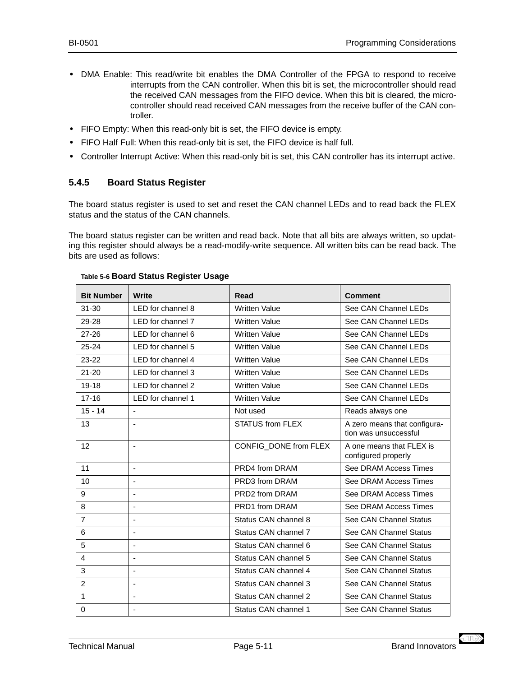- <span id="page-38-0"></span>**•** [DMA Enable](#page-37-0): This read/write bit enables the DMA Controller of the FPGA to respond to receive interrupts from the CAN controller. When this bit is set, the microcontroller should read the received CAN messages from the FIFO device. When this bit is cleared, the microcontroller should read received CAN messages from the receive buffer of the CAN controller.
- **•** [FIFO Empty:](#page-37-0) When this read-only bit is set, the FIFO device is empty.
- **•** [FIFO Half Full:](#page-37-0) When this read-only bit is set, the FIFO device is half full.
- **•** [Controller Interrupt Active:](#page-37-0) When this read-only bit is set, this CAN controller has its interrupt active.

## **5.4.5 Board Status Register**

The board status register is used to set and reset the CAN channel LEDs and to read back the FLEX status and the status of the CAN channels.

The board status register can be written and read back. Note that all bits are always written, so updating this register should always be a read-modify-write sequence. All written bits can be read back. The bits are used as follows:

| <b>Bit Number</b> | Write                    | Read                  | <b>Comment</b>                                        |
|-------------------|--------------------------|-----------------------|-------------------------------------------------------|
| $31 - 30$         | LED for channel 8        | <b>Written Value</b>  | See CAN Channel LEDs                                  |
| 29-28             | LED for channel 7        | <b>Written Value</b>  | See CAN Channel LEDs                                  |
| $27 - 26$         | LED for channel 6        | <b>Written Value</b>  | See CAN Channel LEDs                                  |
| $25 - 24$         | LED for channel 5        | <b>Written Value</b>  | See CAN Channel LEDs                                  |
| $23 - 22$         | LED for channel 4        | <b>Written Value</b>  | See CAN Channel LEDs                                  |
| $21 - 20$         | LED for channel 3        | <b>Written Value</b>  | See CAN Channel LEDs                                  |
| $19 - 18$         | LED for channel 2        | <b>Written Value</b>  | See CAN Channel LEDs                                  |
| $17 - 16$         | LED for channel 1        | <b>Written Value</b>  | See CAN Channel LEDs                                  |
| $15 - 14$         | $\blacksquare$           | Not used              | Reads always one                                      |
| 13                | $\blacksquare$           | STATUS from FLEX      | A zero means that configura-<br>tion was unsuccessful |
| 12                | $\overline{\phantom{a}}$ | CONFIG_DONE from FLEX | A one means that FLEX is<br>configured properly       |
| 11                | $\sim$                   | PRD4 from DRAM        | See DRAM Access Times                                 |
| 10                | $\overline{\phantom{a}}$ | PRD3 from DRAM        | See DRAM Access Times                                 |
| 9                 | $\blacksquare$           | PRD2 from DRAM        | See DRAM Access Times                                 |
| 8                 | $\overline{\phantom{a}}$ | PRD1 from DRAM        | See DRAM Access Times                                 |
| $\overline{7}$    | $\blacksquare$           | Status CAN channel 8  | See CAN Channel Status                                |
| 6                 | $\overline{\phantom{a}}$ | Status CAN channel 7  | See CAN Channel Status                                |
| 5                 | $\blacksquare$           | Status CAN channel 6  | See CAN Channel Status                                |
| 4                 | $\blacksquare$           | Status CAN channel 5  | See CAN Channel Status                                |
| 3                 | $\overline{a}$           | Status CAN channel 4  | See CAN Channel Status                                |
| $\overline{c}$    | $\blacksquare$           | Status CAN channel 3  | See CAN Channel Status                                |
| 1                 | $\blacksquare$           | Status CAN channel 2  | See CAN Channel Status                                |
| $\Omega$          | $\overline{\phantom{a}}$ | Status CAN channel 1  | See CAN Channel Status                                |

#### **Table 5-6 Board Status Register Usage**

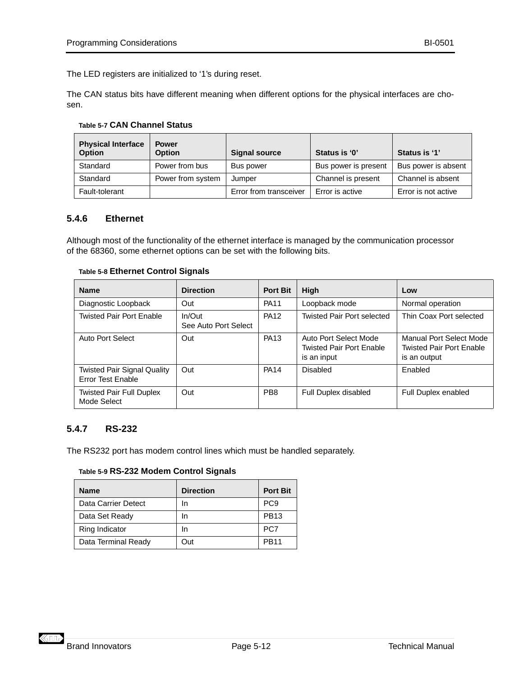<span id="page-39-0"></span>The LED registers are initialized to '1's during reset.

The CAN status bits have different meaning when different options for the physical interfaces are chosen.

#### **Table 5-7 CAN Channel Status**

| <b>Physical Interface</b><br><b>Option</b> | <b>Power</b><br><b>Option</b> | <b>Signal source</b>   | Status is '0'        | Status is '1'       |
|--------------------------------------------|-------------------------------|------------------------|----------------------|---------------------|
| Standard                                   | Power from bus                | Bus power              | Bus power is present | Bus power is absent |
| Standard                                   | Power from system             | Jumper                 | Channel is present   | Channel is absent   |
| Fault-tolerant                             |                               | Error from transceiver | Error is active      | Error is not active |

#### **5.4.6 Ethernet**

Although most of the functionality of the ethernet interface is managed by the communication processor of the 68360, some ethernet options can be set with the following bits.

#### **Table 5-8 Ethernet Control Signals**

| <b>Name</b>                                                    | <b>Direction</b>               | <b>Port Bit</b> | High                                                                    | Low                                                                        |
|----------------------------------------------------------------|--------------------------------|-----------------|-------------------------------------------------------------------------|----------------------------------------------------------------------------|
| Diagnostic Loopback                                            | Out                            | <b>PA11</b>     | Loopback mode                                                           | Normal operation                                                           |
| <b>Twisted Pair Port Enable</b>                                | In/Out<br>See Auto Port Select | <b>PA12</b>     | <b>Twisted Pair Port selected</b>                                       | Thin Coax Port selected                                                    |
| Auto Port Select                                               | Out                            | <b>PA13</b>     | Auto Port Select Mode<br><b>Twisted Pair Port Enable</b><br>is an input | Manual Port Select Mode<br><b>Twisted Pair Port Enable</b><br>is an output |
| <b>Twisted Pair Signal Quality</b><br><b>Error Test Enable</b> | Out                            | <b>PA14</b>     | Disabled                                                                | Enabled                                                                    |
| <b>Twisted Pair Full Duplex</b><br>Mode Select                 | Out                            | PB <sub>8</sub> | Full Duplex disabled                                                    | <b>Full Duplex enabled</b>                                                 |

## **5.4.7 RS-232**

The RS232 port has modem control lines which must be handled separately.

#### **Table 5-9 RS-232 Modem Control Signals**

| <b>Name</b>         | <b>Direction</b> | <b>Port Bit</b> |
|---------------------|------------------|-----------------|
| Data Carrier Detect | In               | PC <sub>9</sub> |
| Data Set Ready      | In               | <b>PB13</b>     |
| Ring Indicator      | In               | PC7             |
| Data Terminal Ready | Out              | <b>PB11</b>     |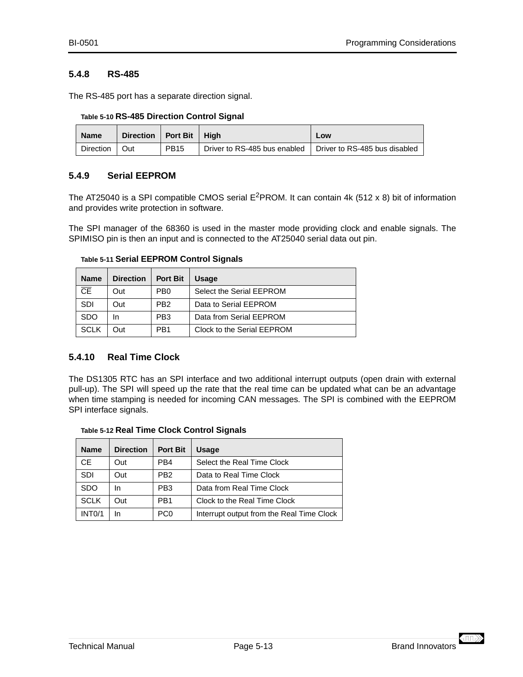#### <span id="page-40-0"></span>**5.4.8 RS-485**

The RS-485 port has a separate direction signal.

**Table 5-10 RS-485 Direction Control Signal**

| <b>Name</b> | Direction   Port Bit   High |             |                              | Low                           |
|-------------|-----------------------------|-------------|------------------------------|-------------------------------|
| Direction   | ∣ Out                       | <b>PB15</b> | Driver to RS-485 bus enabled | Driver to RS-485 bus disabled |

## **5.4.9 Serial EEPROM**

The AT25040 is a SPI compatible CMOS serial  $E^2$ PROM. It can contain 4k (512 x 8) bit of information and provides write protection in software.

The SPI manager of the 68360 is used in the master mode providing clock and enable signals. The SPIMISO pin is then an input and is connected to the AT25040 serial data out pin.

| <b>Name</b>     | <b>Direction</b> | <b>Port Bit</b> | <b>Usage</b>               |
|-----------------|------------------|-----------------|----------------------------|
| $\overline{CE}$ | Out              | PB <sub>0</sub> | Select the Serial EEPROM   |
| <b>SDI</b>      | Out              | PB <sub>2</sub> | Data to Serial EEPROM      |
| <b>SDO</b>      | In               | PB <sub>3</sub> | Data from Serial EEPROM    |
| <b>SCLK</b>     | Out              | PB <sub>1</sub> | Clock to the Serial EEPROM |

**Table 5-11 Serial EEPROM Control Signals**

## **5.4.10 Real Time Clock**

The DS1305 RTC has an SPI interface and two additional interrupt outputs (open drain with external pull-up). The SPI will speed up the rate that the real time can be updated what can be an advantage when time stamping is needed for incoming CAN messages. The SPI is combined with the EEPROM SPI interface signals.

| Table 5-12 Real Time Clock Control Signals |  |  |  |
|--------------------------------------------|--|--|--|
| Name Direction Port Rit Lleage             |  |  |  |

| <b>Name</b>         | <b>Direction</b> | <b>Port Bit</b> | <b>Usage</b>                              |
|---------------------|------------------|-----------------|-------------------------------------------|
| CE.                 | Out              | PB4             | Select the Real Time Clock                |
| <b>SDI</b>          | Out              | PB <sub>2</sub> | Data to Real Time Clock                   |
| <b>SDO</b>          | In               | PB <sub>3</sub> | Data from Real Time Clock                 |
| <b>SCLK</b>         | Out              | PB <sub>1</sub> | Clock to the Real Time Clock              |
| INT <sub>0</sub> /1 | In               | PC <sub>0</sub> | Interrupt output from the Real Time Clock |

 $\langle \text{III} \rangle$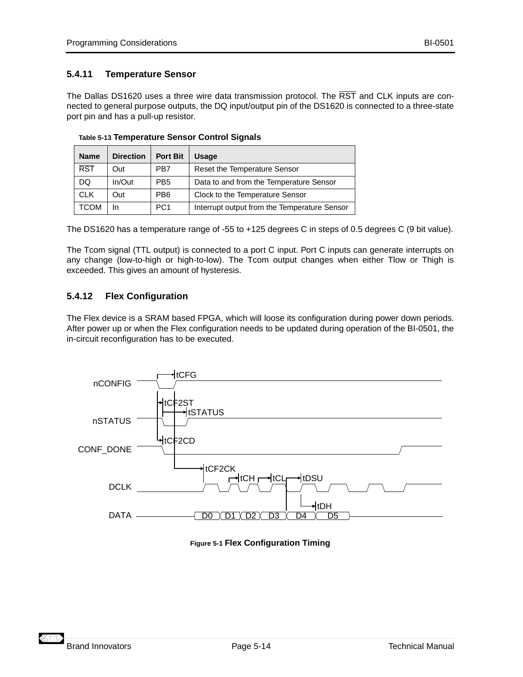## <span id="page-41-0"></span>**5.4.11 Temperature Sensor**

The Dallas DS1620 uses a three wire data transmission protocol. The RST and CLK inputs are connected to general purpose outputs, the DQ input/output pin of the DS1620 is connected to a three-state port pin and has a pull-up resistor.

| <b>Name</b>             | <b>Direction</b> | <b>Port Bit</b> | <b>Usage</b>                                 |
|-------------------------|------------------|-----------------|----------------------------------------------|
| $\overline{\text{RST}}$ | Out              | PB7             | <b>Reset the Temperature Sensor</b>          |
| DQ                      | In/Out           | PB <sub>5</sub> | Data to and from the Temperature Sensor      |
| <b>CLK</b>              | Out              | PB <sub>6</sub> | Clock to the Temperature Sensor              |
| TCOM                    | In               | PC <sub>1</sub> | Interrupt output from the Temperature Sensor |

**Table 5-13 Temperature Sensor Control Signals**

The DS1620 has a temperature range of -55 to +125 degrees C in steps of 0.5 degrees C (9 bit value).

The Tcom signal (TTL output) is connected to a port C input. Port C inputs can generate interrupts on any change (low-to-high or high-to-low). The Tcom output changes when either Tlow or Thigh is exceeded. This gives an amount of hysteresis.

## **5.4.12 Flex Configuration**

The Flex device is a SRAM based FPGA, which will loose its configuration during power down periods. After power up or when the Flex configuration needs to be updated during operation of the BI-0501, the in-circuit reconfiguration has to be executed.



**Figure 5-1 Flex Configuration Timing**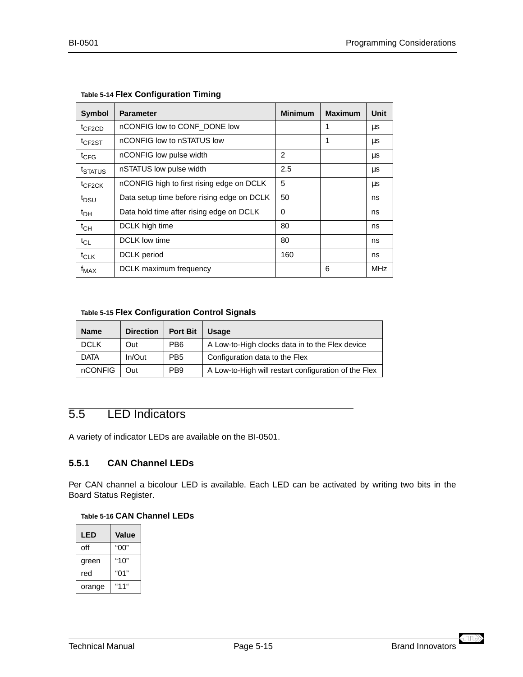| <b>Symbol</b>                      | <b>Parameter</b>                           | <b>Minimum</b> | <b>Maximum</b> | Unit       |
|------------------------------------|--------------------------------------------|----------------|----------------|------------|
| $t$ CF <sub>2</sub> C <sub>D</sub> | nCONFIG low to CONF DONE low               |                | 1              | μs         |
| <sup>t</sup> CF2ST                 | nCONFIG low to nSTATUS low                 |                | 1              | μs         |
| $t_{CFG}$                          | nCONFIG low pulse width                    | 2              |                | μs         |
| <sup>t</sup> status                | nSTATUS low pulse width                    | 2.5            |                | μs         |
| t <sub>CF2CK</sub>                 | nCONFIG high to first rising edge on DCLK  | 5              |                | μs         |
| t <sub>DSU</sub>                   | Data setup time before rising edge on DCLK | 50             |                | ns         |
| $t_{DH}$                           | Data hold time after rising edge on DCLK   | $\Omega$       |                | ns         |
| $t_{CH}$                           | DCLK high time                             | 80             |                | ns         |
| $t_{CL}$                           | DCLK low time                              | 80             |                | ns         |
| $t_{CLK}$                          | DCLK period                                | 160            |                | ns         |
| $f_{MAX}$                          | DCLK maximum frequency                     |                | 6              | <b>MHz</b> |

## <span id="page-42-0"></span>**Table 5-14 Flex Configuration Timing**

#### **Table 5-15 Flex Configuration Control Signals**

| <b>Name</b>    | <b>Direction</b> | <b>Port Bit</b> | <b>Usage</b>                                         |
|----------------|------------------|-----------------|------------------------------------------------------|
| <b>DCLK</b>    | Out              | PB <sub>6</sub> | A Low-to-High clocks data in to the Flex device      |
| <b>DATA</b>    | In/Out           | PB <sub>5</sub> | Configuration data to the Flex                       |
| <b>nCONFIG</b> | Out.             | PB <sub>9</sub> | A Low-to-High will restart configuration of the Flex |

## 5.5 LED Indicators

A variety of indicator LEDs are available on the BI-0501.

## **5.5.1 CAN Channel LEDs**

Per CAN channel a bicolour LED is available. Each LED can be activated by writing two bits in the [Board Status Register](#page-38-0).

#### **Table 5-16 CAN Channel LEDs**

| LED    | Value |
|--------|-------|
| off    | "00"  |
| green  | "10"  |
| red    | "01"  |
| orange | "11"  |

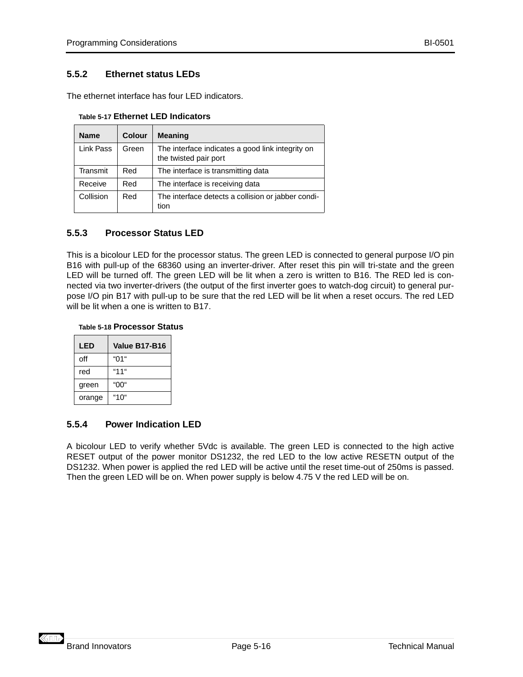#### <span id="page-43-0"></span>**5.5.2 Ethernet status LEDs**

The ethernet interface has four LED indicators.

| <b>Name</b> | Colour | <b>Meaning</b>                                                            |  |
|-------------|--------|---------------------------------------------------------------------------|--|
| Link Pass   | Green  | The interface indicates a good link integrity on<br>the twisted pair port |  |
| Transmit    | Red    | The interface is transmitting data                                        |  |
| Receive     | Red    | The interface is receiving data                                           |  |
| Collision   | Red    | The interface detects a collision or jabber condi-<br>tion                |  |

**Table 5-17 Ethernet LED Indicators**

#### **5.5.3 Processor Status LED**

This is a bicolour LED for the processor status. The green LED is connected to general purpose I/O pin [B16](#page-33-0) with pull-up of the 68360 using an inverter-driver. After reset this pin will tri-state and the green LED will be turned off. The green LED will be lit when a zero is written to [B16](#page-33-0). The RED led is connected via two inverter-drivers (the output of the first inverter goes to watch-dog circuit) to general purpose I/O pin [B17](#page-33-0) with pull-up to be sure that the red LED will be lit when a reset occurs. The red LED will be lit when a one is written to [B17](#page-33-0).

#### **Table 5-18 Processor Status**

| LED    | Value B17-B16 |
|--------|---------------|
| off    | "በ1"          |
| red    | "11"          |
| green  | "00"          |
| orange | "1 በ"         |

#### **5.5.4 Power Indication LED**

A bicolour LED to verify whether 5Vdc is available. The green LED is connected to the high active RESET output of the power monitor DS1232, the red LED to the low active RESETN output of the DS1232. When power is applied the red LED will be active until the reset time-out of 250ms is passed. Then the green LED will be on. When power supply is below 4.75 V the red LED will be on.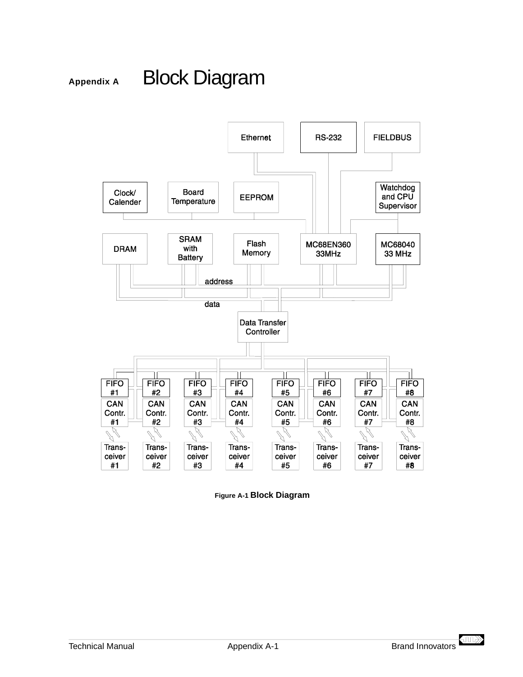## <span id="page-44-0"></span>Appendix A Block Diagram



**Figure A-1 Block Diagram**

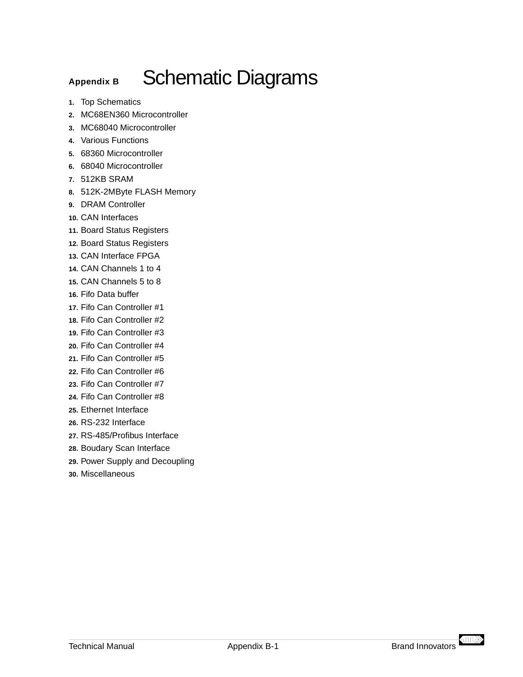## <span id="page-46-0"></span>Appendix B<br>
Schematic Diagrams

- **1.** Top Schematics
- **2.** MC68EN360 Microcontroller
- **3.** MC68040 Microcontroller
- **4.** Various Functions
- **5.** 68360 Microcontroller
- **6.** 68040 Microcontroller
- **7.** 512KB SRAM
- **8.** 512K-2MByte FLASH Memory
- **9.** DRAM Controller
- **10.** CAN Interfaces
- **11.** Board Status Registers
- **12.** Board Status Registers
- **13.** CAN Interface FPGA
- **14.** CAN Channels 1 to 4
- **15.** CAN Channels 5 to 8
- **16.** Fifo Data buffer
- **17.** Fifo Can Controller #1
- **18.** Fifo Can Controller #2
- **19.** Fifo Can Controller #3
- **20.** Fifo Can Controller #4
- **21.** Fifo Can Controller #5
- **22.** Fifo Can Controller #6
- **23.** Fifo Can Controller #7
- **24.** Fifo Can Controller #8
- **25.** Ethernet Interface
- **26.** RS-232 Interface
- **27.** RS-485/Profibus Interface
- **28.** Boudary Scan Interface
- **29.** Power Supply and Decoupling
- **30.** Miscellaneous

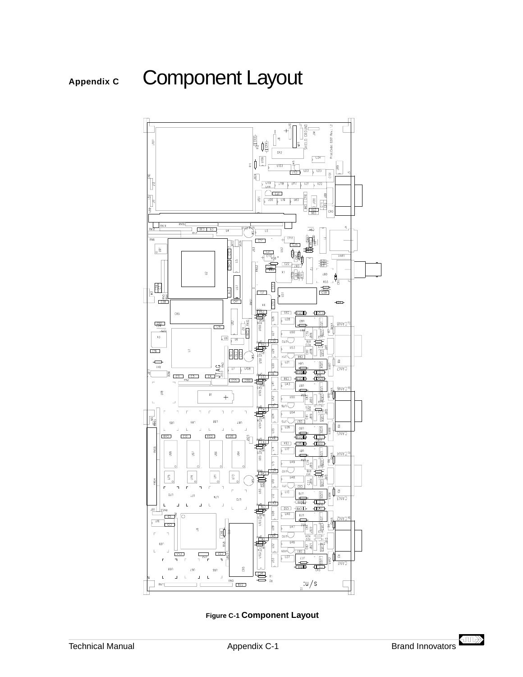<span id="page-48-0"></span>

**Figure C-1 Component Layout**

 $\left\langle \Pi \Pi \right\rangle$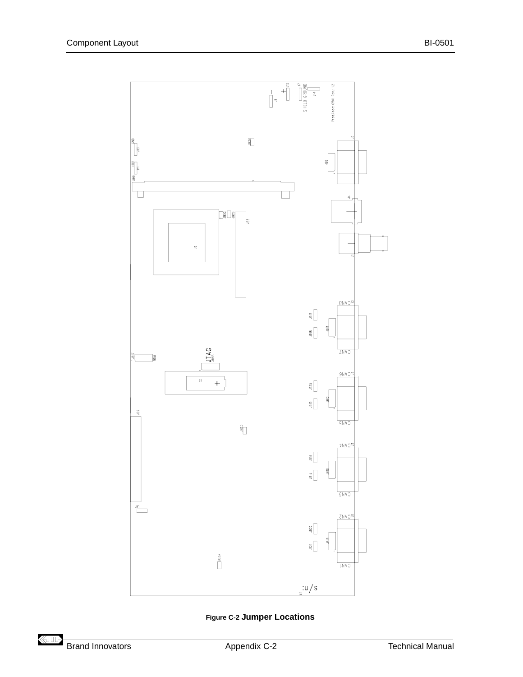<span id="page-49-0"></span>

**Figure C-2 Jumper Locations**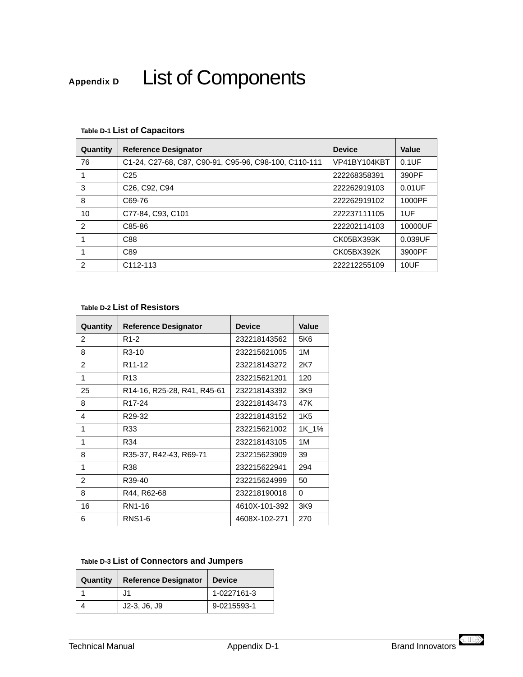# <span id="page-50-0"></span>Appendix D List of Components

| Quantity       | <b>Reference Designator</b>                           | <b>Device</b> | Value     |
|----------------|-------------------------------------------------------|---------------|-----------|
| 76             | C1-24, C27-68, C87, C90-91, C95-96, C98-100, C110-111 | VP41BY104KBT  | $0.1$ UF  |
|                | C <sub>25</sub>                                       | 222268358391  | 390PF     |
| 3              | C <sub>26</sub> , C <sub>92</sub> , C <sub>94</sub>   | 222262919103  | $0.01$ UF |
| 8              | C69-76                                                | 222262919102  | 1000PF    |
| 10             | C77-84, C93, C101                                     | 222237111105  | 1UF       |
| $\mathfrak{p}$ | C85-86                                                | 222202114103  | 10000UF   |
|                | C88                                                   | CK05BX393K    | 0.039UF   |
|                | C89                                                   | CK05BX392K    | 3900PF    |
| $\mathfrak{p}$ | C <sub>112</sub> -113                                 | 222212255109  | 10UF      |

## **Table D-1 List of Capacitors**

#### **Table D-2 List of Resistors**

| Quantity       | <b>Reference Designator</b> | <b>Device</b> | Value |
|----------------|-----------------------------|---------------|-------|
| 2              | R1-2                        | 232218143562  | 5K6   |
| 8              | R <sub>3</sub> -10          | 232215621005  | 1M    |
| $\mathfrak{p}$ | R <sub>11</sub> -12         | 232218143272  | 2K7   |
| 1              | R <sub>13</sub>             | 232215621201  | 120   |
| 25             | R14-16, R25-28, R41, R45-61 | 232218143392  | 3K9   |
| 8              | R <sub>17</sub> -24         | 232218143473  | 47K   |
| 4              | R <sub>29</sub> -32         | 232218143152  | 1K5   |
| 1              | R33                         | 232215621002  | 1K 1% |
| 1              | R34                         | 232218143105  | 1M    |
| 8              | R35-37, R42-43, R69-71      | 232215623909  | 39    |
| 1              | R38                         | 232215622941  | 294   |
| $\overline{2}$ | R39-40                      | 232215624999  | 50    |
| 8              | R44, R62-68                 | 232218190018  | 0     |
| 16             | RN1-16                      | 4610X-101-392 | 3K9   |
| 6              | <b>RNS1-6</b>               | 4608X-102-271 | 270   |

## **Table D-3 List of Connectors and Jumpers**

| Quantity | <b>Reference Designator</b> | <b>Device</b> |
|----------|-----------------------------|---------------|
|          | J1                          | 1-0227161-3   |
|          | $J2-3, J6, J9$              | 9-0215593-1   |

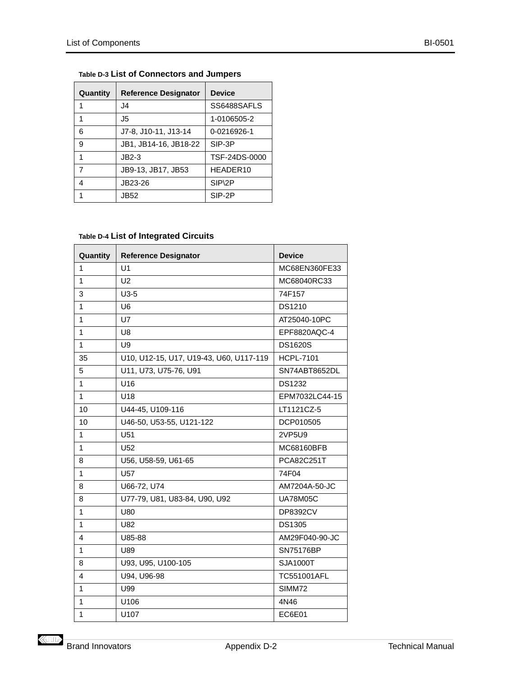| Quantity | <b>Reference Designator</b> | <b>Device</b> |
|----------|-----------------------------|---------------|
| 1        | 14.                         | SS6488SAFLS   |
| 1        | J5                          | 1-0106505-2   |
| 6        | J7-8, J10-11, J13-14        | 0-0216926-1   |
| 9        | JB1, JB14-16, JB18-22       | SIP-3P        |
| 1        | $JB2-3$                     | TSF-24DS-0000 |
| 7        | JB9-13, JB17, JB53          | HEADER10      |
| 4        | JB23-26                     | SIP\2P        |
| 1        | JB52                        | SIP-2P        |

## <span id="page-51-0"></span>**Table D-3 List of Connectors and Jumpers**

## **Table D-4 List of Integrated Circuits**

| Quantity     | <b>Reference Designator</b>             | <b>Device</b>      |
|--------------|-----------------------------------------|--------------------|
| 1            | U <sub>1</sub>                          | MC68EN360FE33      |
| 1            | U <sub>2</sub>                          | MC68040RC33        |
| 3            | $U3-5$                                  | 74F157             |
| 1            | U <sub>6</sub>                          | DS1210             |
| 1            | U7                                      | AT25040-10PC       |
| 1            | U <sub>8</sub>                          | EPF8820AQC-4       |
| 1            | U9                                      | <b>DS1620S</b>     |
| 35           | U10, U12-15, U17, U19-43, U60, U117-119 | <b>HCPL-7101</b>   |
| 5            | U11, U73, U75-76, U91                   | SN74ABT8652DL      |
| $\mathbf{1}$ | U <sub>16</sub>                         | <b>DS1232</b>      |
| $\mathbf{1}$ | U18                                     | EPM7032LC44-15     |
| 10           | U44-45, U109-116                        | LT1121CZ-5         |
| 10           | U46-50, U53-55, U121-122                | DCP010505          |
| $\mathbf{1}$ | U <sub>51</sub>                         | 2VP5U9             |
| $\mathbf{1}$ | U <sub>52</sub>                         | MC68160BFB         |
| 8            | U56, U58-59, U61-65                     | PCA82C251T         |
| $\mathbf{1}$ | U57                                     | 74F04              |
| 8            | U66-72, U74                             | AM7204A-50-JC      |
| 8            | U77-79, U81, U83-84, U90, U92           | <b>UA78M05C</b>    |
| 1            | U80                                     | <b>DP8392CV</b>    |
| 1            | U82                                     | <b>DS1305</b>      |
| 4            | U85-88                                  | AM29F040-90-JC     |
| 1            | U89                                     | <b>SN75176BP</b>   |
| 8            | U93, U95, U100-105                      | SJA1000T           |
| 4            | U94, U96-98                             | <b>TC551001AFL</b> |
| 1            | U99                                     | SIMM72             |
| 1            | U106                                    | 4N46               |
| 1            | U107                                    | <b>EC6E01</b>      |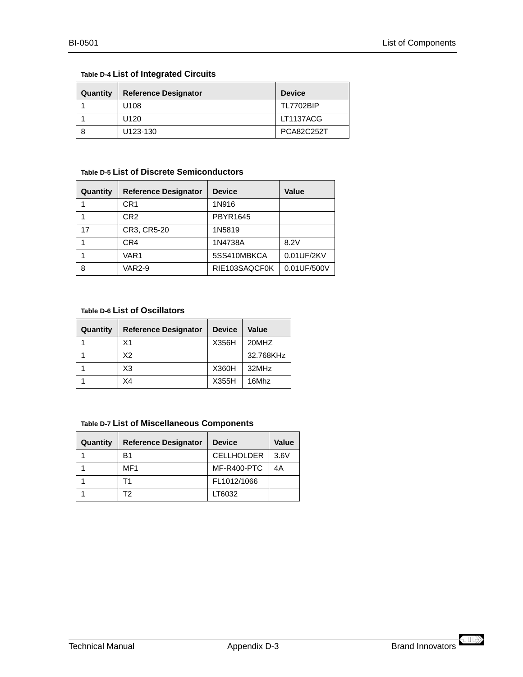## <span id="page-52-0"></span>**Table D-4 List of Integrated Circuits**

| Quantity | <b>Reference Designator</b> | <b>Device</b>     |
|----------|-----------------------------|-------------------|
|          | U <sub>108</sub>            | <b>TL7702BIP</b>  |
|          | U120                        | LT1137ACG         |
|          | U123-130                    | <b>PCA82C252T</b> |

#### **Table D-5 List of Discrete Semiconductors**

| Quantity | <b>Reference Designator</b> | <b>Device</b>   | Value       |
|----------|-----------------------------|-----------------|-------------|
|          | CR1                         | 1N916           |             |
|          | CR <sub>2</sub>             | <b>PBYR1645</b> |             |
| 17       | CR3, CR5-20                 | 1N5819          |             |
|          | CR4                         | 1N4738A         | 8.2V        |
|          | VAR1                        | 5SS410MBKCA     | 0.01UF/2KV  |
| 8        | <b>VAR2-9</b>               | RIE103SAQCF0K   | 0.01UF/500V |

#### **Table D-6 List of Oscillators**

| Quantity | <b>Reference Designator</b> | <b>Device</b> | Value     |
|----------|-----------------------------|---------------|-----------|
|          | X <sub>1</sub>              | X356H         | 20MHZ     |
|          | X2                          |               | 32.768KHz |
|          | X3                          | X360H         | 32MHz     |
|          | X4                          | X355H         | 16Mhz     |

#### **Table D-7 List of Miscellaneous Components**

| Quantity | <b>Reference Designator</b> | <b>Device</b>     | <b>Value</b> |
|----------|-----------------------------|-------------------|--------------|
|          | B1                          | <b>CELLHOLDER</b> | 3.6V         |
|          | MF1                         | MF-R400-PTC       | 4Α           |
|          |                             | FL1012/1066       |              |
|          | то                          | LT6032            |              |

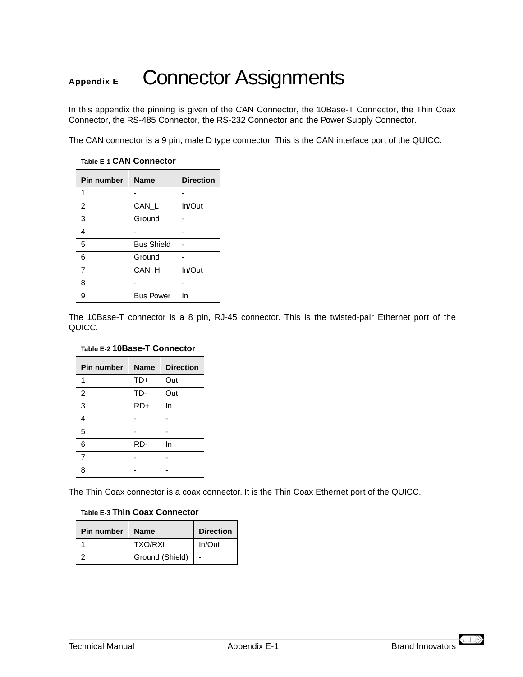## <span id="page-54-0"></span>Appendix E Connector Assignments

In this appendix the pinning is given of the CAN Connector, the 10Base-T Connector, the Thin Coax Connector, the [RS-485 Connector](#page-55-0), the [RS-232 Connector](#page-55-0) and the [Power Supply Connector](#page-55-0).

The CAN connector is a 9 pin, male D type connector. This is the CAN interface port of the QUICC.

| <b>Pin number</b> | <b>Name</b>       | <b>Direction</b> |
|-------------------|-------------------|------------------|
| 1                 |                   |                  |
| $\overline{2}$    | CAN_L             | In/Out           |
| 3                 | Ground            |                  |
| 4                 |                   |                  |
| 5                 | <b>Bus Shield</b> |                  |
| 6                 | Ground            |                  |
| 7                 | CAN H             | In/Out           |
| 8                 |                   |                  |
| 9                 | <b>Bus Power</b>  | In               |

#### **Table E-1 CAN Connector**

The 10Base-T connector is a 8 pin, RJ-45 connector. This is the twisted-pair Ethernet port of the QUICC.

#### **Table E-2 10Base-T Connector**

| <b>Pin number</b> | <b>Name</b> | <b>Direction</b> |
|-------------------|-------------|------------------|
| 1                 | $TD+$       | Out              |
| $\overline{2}$    | TD-         | Out              |
| 3                 | $RD+$       | In               |
| 4                 |             |                  |
| 5                 |             |                  |
| 6                 | RD-         | In               |
| $\overline{7}$    |             |                  |
| R                 |             |                  |

The Thin Coax connector is a coax connector. It is the Thin Coax Ethernet port of the QUICC.

#### **Table E-3 Thin Coax Connector**

| <b>Pin number</b> | <b>Name</b>     | <b>Direction</b> |
|-------------------|-----------------|------------------|
|                   | <b>TXO/RXI</b>  | In/Out           |
|                   | Ground (Shield) |                  |

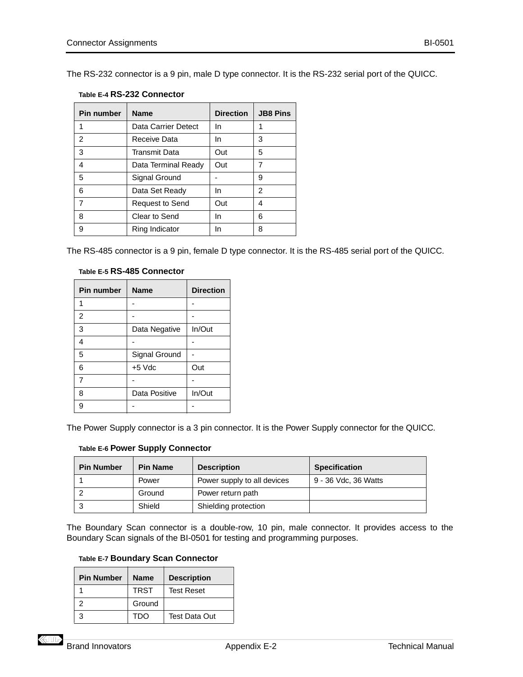<span id="page-55-0"></span>The RS-232 connector is a 9 pin, male D type connector. It is the RS-232 serial port of the QUICC.

|  |  | Table E-4 RS-232 Connector |
|--|--|----------------------------|
|--|--|----------------------------|

| <b>Pin number</b> | <b>Name</b>         | <b>Direction</b> | <b>JB8 Pins</b> |
|-------------------|---------------------|------------------|-----------------|
|                   | Data Carrier Detect | In               | 1               |
| $\overline{2}$    | Receive Data        | In.              | 3               |
| 3                 | Transmit Data       | Out              | 5               |
| 4                 | Data Terminal Ready | Out              | 7               |
| 5                 | Signal Ground       |                  | 9               |
| 6                 | Data Set Ready      | In               | 2               |
| 7                 | Request to Send     | Out              | 4               |
| 8                 | Clear to Send       | In               | 6               |
| 9                 | Ring Indicator      | In               | 8               |

The RS-485 connector is a 9 pin, female D type connector. It is the RS-485 serial port of the QUICC.

| Table E-5 RS-485 Connector |
|----------------------------|
|                            |

| <b>Pin number</b> | <b>Name</b>   | <b>Direction</b> |
|-------------------|---------------|------------------|
|                   |               |                  |
| 2                 |               |                  |
| 3                 | Data Negative | In/Out           |
| 4                 |               |                  |
| 5                 | Signal Ground |                  |
| 6                 | $+5$ Vdc      | Out              |
| 7                 |               |                  |
| 8                 | Data Positive | In/Out           |
| g                 |               |                  |

The Power Supply connector is a 3 pin connector. It is the Power Supply connector for the QUICC.

| Table E-6 Power Supply Connector |  |  |  |  |
|----------------------------------|--|--|--|--|
|----------------------------------|--|--|--|--|

| <b>Pin Number</b> | <b>Pin Name</b> | <b>Description</b>          | <b>Specification</b> |
|-------------------|-----------------|-----------------------------|----------------------|
|                   | Power           | Power supply to all devices | 9 - 36 Vdc, 36 Watts |
|                   | Ground          | Power return path           |                      |
|                   | Shield          | Shielding protection        |                      |

The Boundary Scan connector is a double-row, 10 pin, male connector. It provides access to the Boundary Scan signals of the BI-0501 for testing and programming purposes.

| <b>Pin Number</b> | <b>Name</b> | <b>Description</b>   |
|-------------------|-------------|----------------------|
|                   | <b>TRST</b> | <b>Test Reset</b>    |
|                   | Ground      |                      |
|                   | TDO         | <b>Test Data Out</b> |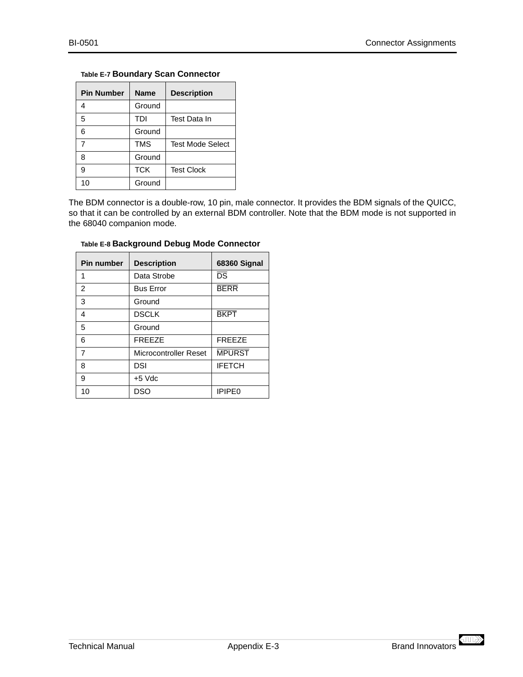#### <span id="page-56-0"></span>**Table E-7 Boundary Scan Connector**

| <b>Pin Number</b> | <b>Name</b> | <b>Description</b>      |
|-------------------|-------------|-------------------------|
| 4                 | Ground      |                         |
| 5                 | TDI         | Test Data In            |
| 6                 | Ground      |                         |
| 7                 | TMS         | <b>Test Mode Select</b> |
| 8                 | Ground      |                         |
| 9                 | <b>TCK</b>  | <b>Test Clock</b>       |
| 10                | Ground      |                         |

The BDM connector is a double-row, 10 pin, male connector. It provides the BDM signals of the QUICC, so that it can be controlled by an external BDM controller. Note that the BDM mode is not supported in the 68040 companion mode.

| <b>Pin number</b> | <b>Description</b>    | 68360 Signal           |
|-------------------|-----------------------|------------------------|
| 1                 | Data Strobe           | $\overline{\text{DS}}$ |
| $\mathfrak{p}$    | <b>Bus Error</b>      | <b>BERR</b>            |
| 3                 | Ground                |                        |
| 4                 | <b>DSCLK</b>          | <b>BKPT</b>            |
| 5                 | Ground                |                        |
| 6                 | <b>FREEZE</b>         | <b>FREEZE</b>          |
| 7                 | Microcontroller Reset | <b>MPURST</b>          |
| 8                 | DSI                   | <b>IFETCH</b>          |
| 9                 | $+5$ Vdc              |                        |
| 10                | DSO                   | <b>IPIPE0</b>          |

#### **Table E-8 Background Debug Mode Connector**

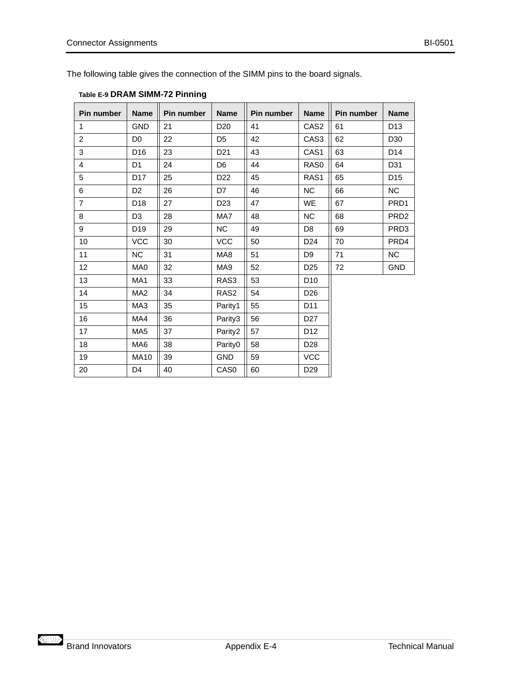<span id="page-57-0"></span>The following table gives the connection of the SIMM pins to the board signals.

| Pin number              | <b>Name</b>     | <b>Pin number</b> | <b>Name</b>      | Pin number | <b>Name</b>     | Pin number | <b>Name</b>      |
|-------------------------|-----------------|-------------------|------------------|------------|-----------------|------------|------------------|
| $\mathbf{1}$            | <b>GND</b>      | 21                | D <sub>20</sub>  | 41         | CAS2            | 61         | D <sub>13</sub>  |
| $\overline{2}$          | D <sub>0</sub>  | 22                | D <sub>5</sub>   | 42         | CAS3            | 62         | D <sub>30</sub>  |
| 3                       | D <sub>16</sub> | 23                | D <sub>21</sub>  | 43         | CAS1            | 63         | D14              |
| $\overline{\mathbf{4}}$ | D <sub>1</sub>  | 24                | D <sub>6</sub>   | 44         | RAS0            | 64         | D31              |
| 5                       | D <sub>17</sub> | 25                | D <sub>22</sub>  | 45         | RAS1            | 65         | D <sub>15</sub>  |
| 6                       | D <sub>2</sub>  | 26                | D7               | 46         | <b>NC</b>       | 66         | <b>NC</b>        |
| $\overline{7}$          | D <sub>18</sub> | 27                | D <sub>23</sub>  | 47         | WE              | 67         | PRD1             |
| 8                       | D <sub>3</sub>  | 28                | MA7              | 48         | <b>NC</b>       | 68         | PRD <sub>2</sub> |
| 9                       | D <sub>19</sub> | 29                | NC               | 49         | D <sub>8</sub>  | 69         | PRD <sub>3</sub> |
| 10                      | <b>VCC</b>      | 30                | <b>VCC</b>       | 50         | D <sub>24</sub> | 70         | PRD4             |
| 11                      | NC              | 31                | MA8              | 51         | D <sub>9</sub>  | 71         | NC               |
| 12                      | MA0             | 32                | MA9              | 52         | D <sub>25</sub> | 72         | <b>GND</b>       |
| 13                      | MA <sub>1</sub> | 33                | RAS3             | 53         | D <sub>10</sub> |            |                  |
| 14                      | MA <sub>2</sub> | 34                | RAS <sub>2</sub> | 54         | D <sub>26</sub> |            |                  |
| 15                      | MA3             | 35                | Parity1          | 55         | D11             |            |                  |
| 16                      | MA4             | 36                | Parity3          | 56         | D <sub>27</sub> |            |                  |
| 17                      | MA <sub>5</sub> | 37                | Parity2          | 57         | D12             |            |                  |
| 18                      | MA6             | 38                | Parity0          | 58         | D <sub>28</sub> |            |                  |
| 19                      | <b>MA10</b>     | 39                | <b>GND</b>       | 59         | <b>VCC</b>      |            |                  |
| 20                      | D <sub>4</sub>  | 40                | CAS <sub>0</sub> | 60         | D <sub>29</sub> |            |                  |

## **Table E-9 DRAM SIMM-72 Pinning**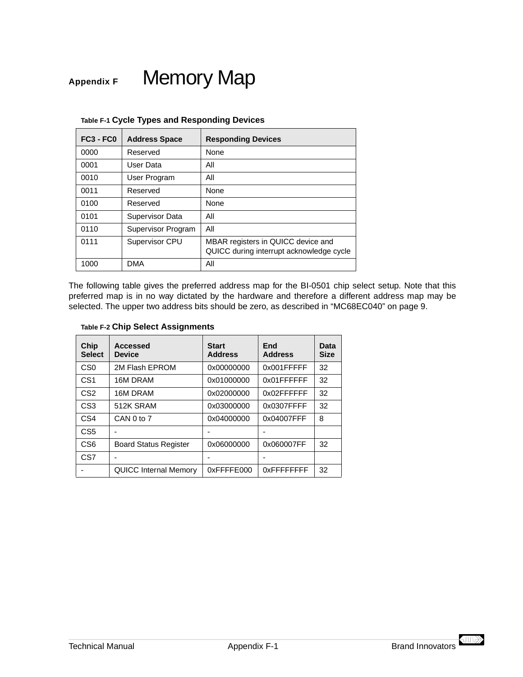## <span id="page-58-0"></span>Appendix F Memory Map

| $FC3 - FC0$ | <b>Address Space</b> | <b>Responding Devices</b>                                                      |
|-------------|----------------------|--------------------------------------------------------------------------------|
| 0000        | Reserved             | <b>None</b>                                                                    |
| 0001        | User Data            | All                                                                            |
| 0010        | User Program         | All                                                                            |
| 0011        | Reserved             | None                                                                           |
| 0100        | Reserved             | <b>None</b>                                                                    |
| 0101        | Supervisor Data      | All                                                                            |
| 0110        | Supervisor Program   | All                                                                            |
| 0111        | Supervisor CPU       | MBAR registers in QUICC device and<br>QUICC during interrupt acknowledge cycle |
| 1000        | <b>DMA</b>           | All                                                                            |

|  |  |  |  | Table F-1 Cycle Types and Responding Devices |  |
|--|--|--|--|----------------------------------------------|--|
|--|--|--|--|----------------------------------------------|--|

The following table gives the preferred address map for the BI-0501 chip select setup. Note that this preferred map is in no way dictated by the hardware and therefore a different address map may be selected. The upper two address bits should be zero, as described in ["MC68EC040" on page 9](#page-36-0).

#### **Table F-2 Chip Select Assignments**

| Chip<br><b>Select</b> | Accessed<br><b>Device</b>    | <b>Start</b><br><b>Address</b> | End<br><b>Address</b> | Data<br><b>Size</b> |
|-----------------------|------------------------------|--------------------------------|-----------------------|---------------------|
| C <sub>S0</sub>       | 2M Flash EPROM               | 0x00000000                     | 0x001FFFFF            | 32                  |
| CS <sub>1</sub>       | 16M DRAM                     | 0x01000000                     | 0x01FFFFFF            | 32                  |
| CS <sub>2</sub>       | 16M DRAM                     | 0x02000000                     | 0x02FFFFFF            | 32                  |
| CS <sub>3</sub>       | 512K SRAM                    | 0x03000000                     | 0x0307FFFF            | 32                  |
| CS4                   | CAN 0 to 7                   | 0x04000000                     | 0x04007FFF            | 8                   |
| CS <sub>5</sub>       |                              |                                |                       |                     |
| CS <sub>6</sub>       | <b>Board Status Register</b> | 0x06000000                     | 0x060007FF            | 32                  |
| CS7                   |                              |                                |                       |                     |
|                       | <b>QUICC Internal Memory</b> | 0xFFFFE000                     | 0xFFFFFFFFF           | 32                  |

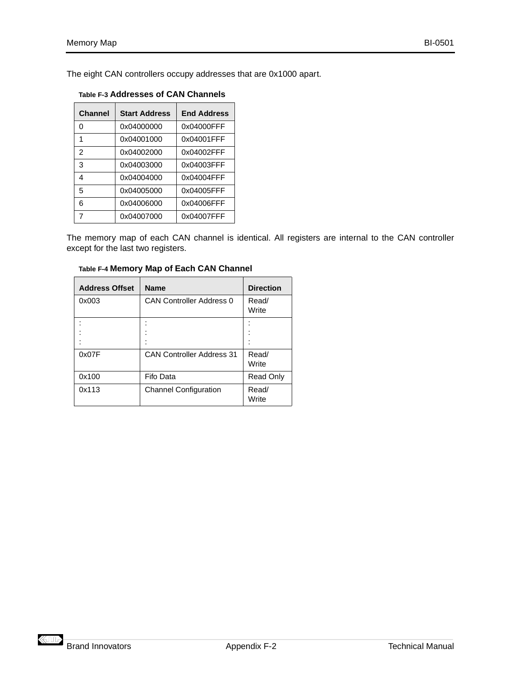<span id="page-59-0"></span>The eight CAN controllers occupy addresses that are 0x1000 apart.

| Channel | <b>Start Address</b> | <b>End Address</b> |
|---------|----------------------|--------------------|
| ი       | 0x04000000           | 0x04000FFF         |
| 1       | 0x04001000           | 0x04001FFF         |
| 2       | 0x04002000           | 0x04002FFF         |
| 3       | 0x04003000           | 0x04003FFF         |
| 4       | 0x04004000           | 0x04004FFF         |
| 5       | 0x04005000           | 0x04005FFF         |
| 6       | 0x04006000           | 0x04006FFF         |
|         | 0x04007000           | 0x04007FFF         |

The memory map of each CAN channel is identical. All registers are internal to the CAN controller except for the last two registers.

| <b>Address Offset</b> | <b>Name</b>                      | <b>Direction</b> |
|-----------------------|----------------------------------|------------------|
| 0x003                 | <b>CAN Controller Address 0</b>  | Read/<br>Write   |
|                       |                                  |                  |
| 0x07F                 | <b>CAN Controller Address 31</b> | Read/<br>Write   |
| 0x100                 | Fifo Data                        | Read Only        |
| 0x113                 | <b>Channel Configuration</b>     | Read/<br>Write   |

**Table F-4 Memory Map of Each CAN Channel**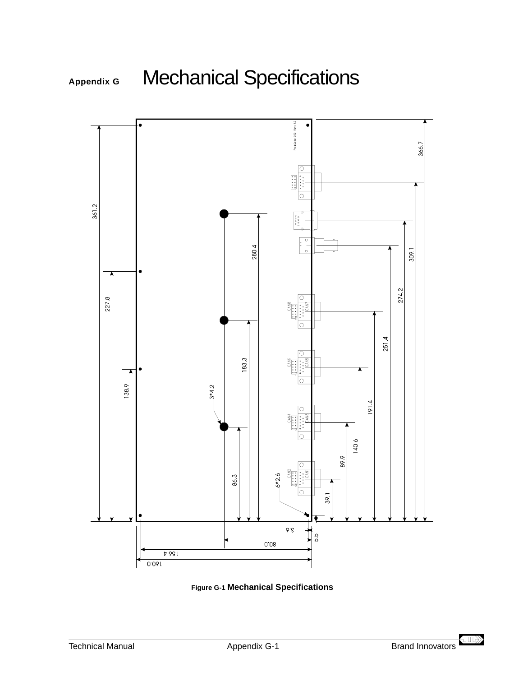<span id="page-60-0"></span>





 $\left\langle \text{III} \right\rangle$